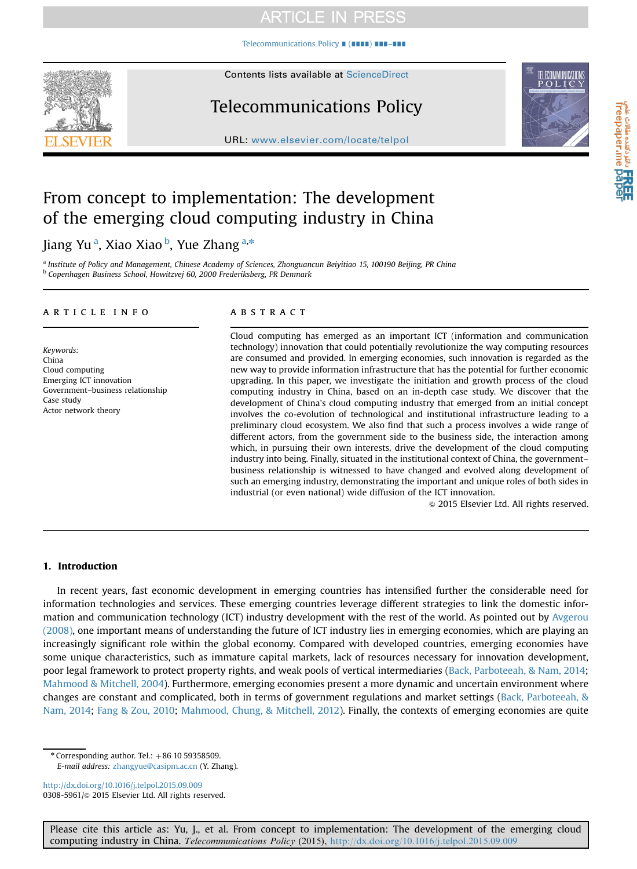[Telecommunications Policy](http://dx.doi.org/10.1016/j.telpol.2015.09.009) ∎ (∎∎∎∎) ∎∎∎–∎∎∎



#### Contents lists available at [ScienceDirect](www.sciencedirect.com/science/journal/03085961)

# Telecommunications Policy



a تال الله دهنده مقلات علم<br>freepaper.me pape

URL: <www.elsevier.com/locate/telpol>

# From concept to implementation: The development of the emerging cloud computing industry in China

### Jiang Yu<sup>a</sup>, Xiao Xiao <sup>b</sup>, Yue Zhang <sup>a,</sup>\*

a Institute of Policy and Management, Chinese Academy of Sciences, Zhonguancun Beiyitiao 15, 100190 Beijing, PR China <sup>b</sup> Copenhagen Business School, Howitzvej 60, 2000 Frederiksberg, PR Denmark

#### article info

Keywords: China Cloud computing Emerging ICT innovation Government–business relationship Case study Actor network theory

#### **ABSTRACT**

Cloud computing has emerged as an important ICT (information and communication technology) innovation that could potentially revolutionize the way computing resources are consumed and provided. In emerging economies, such innovation is regarded as the new way to provide information infrastructure that has the potential for further economic upgrading. In this paper, we investigate the initiation and growth process of the cloud computing industry in China, based on an in-depth case study. We discover that the development of China's cloud computing industry that emerged from an initial concept involves the co-evolution of technological and institutional infrastructure leading to a preliminary cloud ecosystem. We also find that such a process involves a wide range of different actors, from the government side to the business side, the interaction among which, in pursuing their own interests, drive the development of the cloud computing industry into being. Finally, situated in the institutional context of China, the government– business relationship is witnessed to have changed and evolved along development of such an emerging industry, demonstrating the important and unique roles of both sides in industrial (or even national) wide diffusion of the ICT innovation.

 $\odot$  2015 Elsevier Ltd. All rights reserved.

### 1. Introduction

In recent years, fast economic development in emerging countries has intensified further the considerable need for information technologies and services. These emerging countries leverage different strategies to link the domestic information and communication technology (ICT) industry development with the rest of the world. As pointed out by [Avgerou](#page-14-0) [\(2008\)](#page-14-0), one important means of understanding the future of ICT industry lies in emerging economies, which are playing an increasingly significant role within the global economy. Compared with developed countries, emerging economies have some unique characteristics, such as immature capital markets, lack of resources necessary for innovation development, poor legal framework to protect property rights, and weak pools of vertical intermediaries ([Back, Parboteeah,](#page-14-0) & [Nam, 2014](#page-14-0); [Mahmood & Mitchell, 2004](#page-15-0)). Furthermore, emerging economies present a more dynamic and uncertain environment where changes are constant and complicated, both in terms of government regulations and market settings [\(Back, Parboteeah,](#page-14-0) & [Nam, 2014;](#page-14-0) [Fang & Zou, 2010](#page-15-0); [Mahmood, Chung,](#page-15-0) [& Mitchell, 2012](#page-15-0)). Finally, the contexts of emerging economies are quite

 $*$  Corresponding author. Tel.:  $+86$  10 59358509. E-mail address: [zhangyue@casipm.ac.cn](mailto:zhangyue@casipm.ac.cn) (Y. Zhang).

<http://dx.doi.org/10.1016/j.telpol.2015.09.009> 0308-5961/@ 2015 Elsevier Ltd. All rights reserved.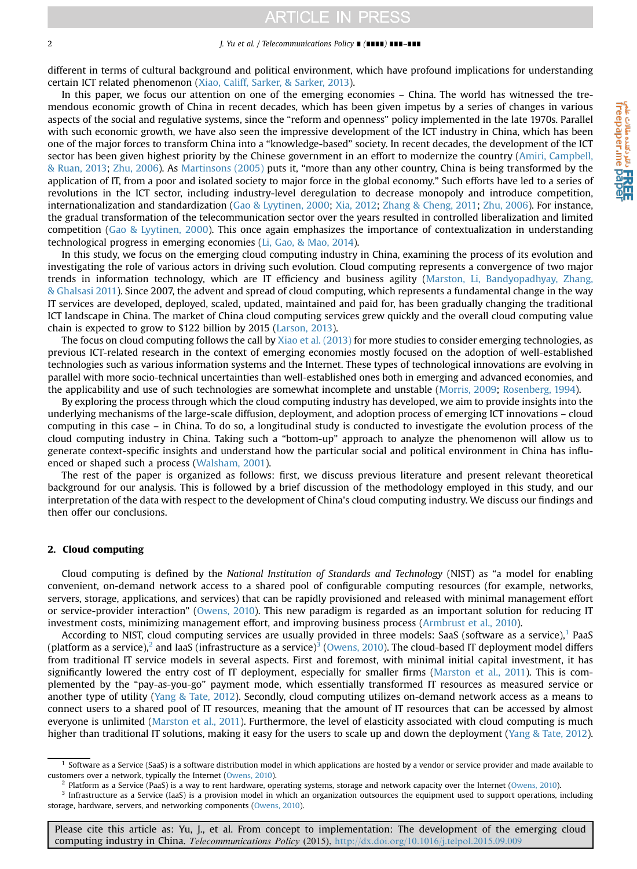different in terms of cultural background and political environment, which have profound implications for understanding certain ICT related phenomenon ([Xiao, Califf, Sarker, & Sarker, 2013\)](#page-16-0).

In this paper, we focus our attention on one of the emerging economies – China. The world has witnessed the tremendous economic growth of China in recent decades, which has been given impetus by a series of changes in various aspects of the social and regulative systems, since the "reform and openness" policy implemented in the late 1970s. Parallel with such economic growth, we have also seen the impressive development of the ICT industry in China, which has been one of the major forces to transform China into a "knowledge-based" society. In recent decades, the development of the ICT sector has been given highest priority by the Chinese government in an effort to modernize the country ([Amiri, Campbell,](#page-14-0) & [Ruan, 2013](#page-14-0); [Zhu, 2006](#page-16-0)). As [Martinsons \(2005\)](#page-15-0) puts it, "more than any other country, China is being transformed by the application of IT, from a poor and isolated society to major force in the global economy." Such efforts have led to a series of revolutions in the ICT sector, including industry-level deregulation to decrease monopoly and introduce competition, internationalization and standardization ([Gao & Lyytinen, 2000;](#page-15-0) [Xia, 2012](#page-16-0); [Zhang](#page-16-0) [& Cheng, 2011;](#page-16-0) [Zhu, 2006\)](#page-16-0). For instance, the gradual transformation of the telecommunication sector over the years resulted in controlled liberalization and limited competition [\(Gao](#page-15-0) [& Lyytinen, 2000](#page-15-0)). This once again emphasizes the importance of contextualization in understanding technological progress in emerging economies ([Li, Gao,](#page-15-0) [& Mao, 2014](#page-15-0)).

In this study, we focus on the emerging cloud computing industry in China, examining the process of its evolution and investigating the role of various actors in driving such evolution. Cloud computing represents a convergence of two major trends in information technology, which are IT efficiency and business agility [\(Marston, Li, Bandyopadhyay, Zhang,](#page-15-0) & [Ghalsasi 2011\)](#page-15-0). Since 2007, the advent and spread of cloud computing, which represents a fundamental change in the way IT services are developed, deployed, scaled, updated, maintained and paid for, has been gradually changing the traditional ICT landscape in China. The market of China cloud computing services grew quickly and the overall cloud computing value chain is expected to grow to \$122 billion by 2015 [\(Larson, 2013](#page-15-0)).

The focus on cloud computing follows the call by [Xiao et al. \(2013\)](#page-16-0) for more studies to consider emerging technologies, as previous ICT-related research in the context of emerging economies mostly focused on the adoption of well-established technologies such as various information systems and the Internet. These types of technological innovations are evolving in parallel with more socio-technical uncertainties than well-established ones both in emerging and advanced economies, and the applicability and use of such technologies are somewhat incomplete and unstable [\(Morris, 2009](#page-15-0); [Rosenberg, 1994\)](#page-15-0).

By exploring the process through which the cloud computing industry has developed, we aim to provide insights into the underlying mechanisms of the large-scale diffusion, deployment, and adoption process of emerging ICT innovations – cloud computing in this case – in China. To do so, a longitudinal study is conducted to investigate the evolution process of the cloud computing industry in China. Taking such a "bottom-up" approach to analyze the phenomenon will allow us to generate context-specific insights and understand how the particular social and political environment in China has influenced or shaped such a process ([Walsham, 2001\)](#page-16-0).

The rest of the paper is organized as follows: first, we discuss previous literature and present relevant theoretical background for our analysis. This is followed by a brief discussion of the methodology employed in this study, and our interpretation of the data with respect to the development of China's cloud computing industry. We discuss our findings and then offer our conclusions.

#### 2. Cloud computing

Cloud computing is defined by the National Institution of Standards and Technology (NIST) as "a model for enabling convenient, on-demand network access to a shared pool of configurable computing resources (for example, networks, servers, storage, applications, and services) that can be rapidly provisioned and released with minimal management effort or service-provider interaction" [\(Owens, 2010\)](#page-15-0). This new paradigm is regarded as an important solution for reducing IT investment costs, minimizing management effort, and improving business process ([Armbrust et al., 2010\)](#page-14-0).

According to NIST, cloud computing services are usually provided in three models: SaaS (software as a service),<sup>1</sup> PaaS (platform as a service),<sup>2</sup> and IaaS (infrastructure as a service)<sup>3</sup> ([Owens, 2010\)](#page-15-0). The cloud-based IT deployment model differs from traditional IT service models in several aspects. First and foremost, with minimal initial capital investment, it has significantly lowered the entry cost of IT deployment, especially for smaller firms ([Marston et al., 2011\)](#page-15-0). This is complemented by the "pay-as-you-go" payment mode, which essentially transformed IT resources as measured service or another type of utility [\(Yang](#page-16-0) [& Tate, 2012\)](#page-16-0). Secondly, cloud computing utilizes on-demand network access as a means to connect users to a shared pool of IT resources, meaning that the amount of IT resources that can be accessed by almost everyone is unlimited ([Marston et al., 2011](#page-15-0)). Furthermore, the level of elasticity associated with cloud computing is much higher than traditional IT solutions, making it easy for the users to scale up and down the deployment [\(Yang & Tate, 2012](#page-16-0)).

 $<sup>1</sup>$  Software as a Service (SaaS) is a software distribution model in which applications are hosted by a vendor or service provider and made available to</sup> customers over a network, typically the Internet ([Owens, 2010\)](#page-15-0).

 $<sup>2</sup>$  Platform as a Service (PaaS) is a way to rent hardware, operating systems, storage and network capacity over the Internet [\(Owens, 2010](#page-15-0)).</sup>

<sup>&</sup>lt;sup>3</sup> Infrastructure as a Service (IaaS) is a provision model in which an organization outsources the equipment used to support operations, including storage, hardware, servers, and networking components [\(Owens, 2010](#page-15-0)).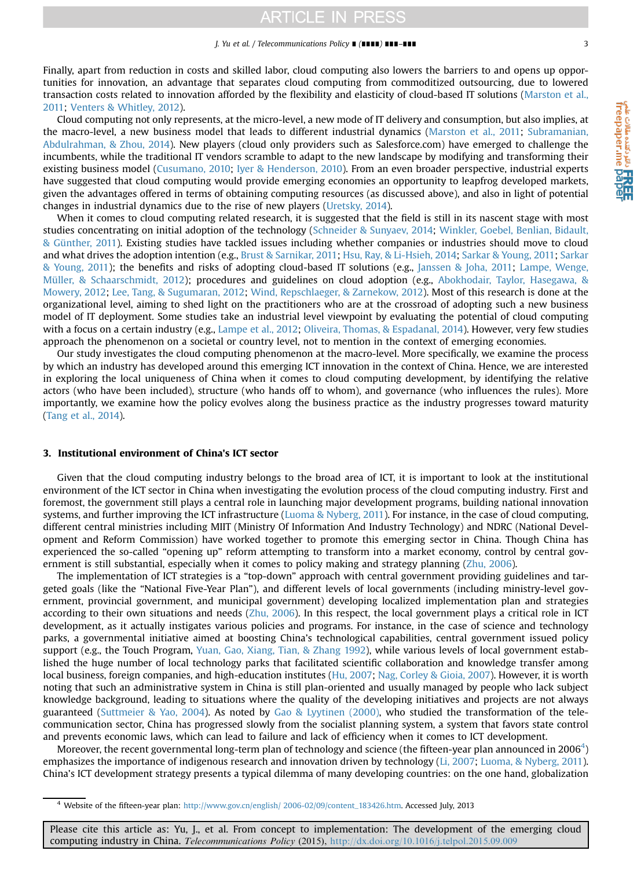Finally, apart from reduction in costs and skilled labor, cloud computing also lowers the barriers to and opens up opportunities for innovation, an advantage that separates cloud computing from commoditized outsourcing, due to lowered transaction costs related to innovation afforded by the flexibility and elasticity of cloud-based IT solutions [\(Marston et al.,](#page-15-0) [2011;](#page-15-0) [Venters](#page-16-0) & [Whitley, 2012](#page-16-0)).

Cloud computing not only represents, at the micro-level, a new mode of IT delivery and consumption, but also implies, at the macro-level, a new business model that leads to different industrial dynamics ([Marston et al., 2011;](#page-15-0) [Subramanian,](#page-15-0) [Abdulrahman, & Zhou, 2014](#page-15-0)). New players (cloud only providers such as Salesforce.com) have emerged to challenge the incumbents, while the traditional IT vendors scramble to adapt to the new landscape by modifying and transforming their existing business model [\(Cusumano, 2010;](#page-14-0) [Iyer & Henderson, 2010\)](#page-15-0). From an even broader perspective, industrial experts have suggested that cloud computing would provide emerging economies an opportunity to leapfrog developed markets, given the advantages offered in terms of obtaining computing resources (as discussed above), and also in light of potential changes in industrial dynamics due to the rise of new players [\(Uretsky, 2014\)](#page-16-0).

When it comes to cloud computing related research, it is suggested that the field is still in its nascent stage with most studies concentrating on initial adoption of the technology ([Schneider & Sunyaev, 2014](#page-15-0); [Winkler, Goebel, Benlian, Bidault,](#page-16-0) & [Günther, 2011\)](#page-16-0). Existing studies have tackled issues including whether companies or industries should move to cloud and what drives the adoption intention (e.g., [Brust & Sarnikar, 2011](#page-14-0); [Hsu, Ray,](#page-15-0) & [Li-Hsieh, 2014](#page-15-0); [Sarkar](#page-15-0) & [Young, 2011](#page-15-0); [Sarkar](#page-15-0) & [Young, 2011\)](#page-15-0); the benefits and risks of adopting cloud-based IT solutions (e.g., [Janssen](#page-15-0) & [Joha, 2011](#page-15-0); [Lampe, Wenge,](#page-15-0) [Müller, & Schaarschmidt, 2012\)](#page-15-0); procedures and guidelines on cloud adoption (e.g., [Abokhodair, Taylor, Hasegawa,](#page-14-0) & [Mowery, 2012;](#page-14-0) [Lee, Tang,](#page-15-0) & [Sugumaran, 2012](#page-15-0); [Wind, Repschlaeger,](#page-16-0) [& Zarnekow, 2012\)](#page-16-0). Most of this research is done at the organizational level, aiming to shed light on the practitioners who are at the crossroad of adopting such a new business model of IT deployment. Some studies take an industrial level viewpoint by evaluating the potential of cloud computing with a focus on a certain industry (e.g., [Lampe et al., 2012;](#page-15-0) [Oliveira, Thomas,](#page-15-0) [& Espadanal, 2014\)](#page-15-0). However, very few studies approach the phenomenon on a societal or country level, not to mention in the context of emerging economies.

Our study investigates the cloud computing phenomenon at the macro-level. More specifically, we examine the process by which an industry has developed around this emerging ICT innovation in the context of China. Hence, we are interested in exploring the local uniqueness of China when it comes to cloud computing development, by identifying the relative actors (who have been included), structure (who hands off to whom), and governance (who influences the rules). More importantly, we examine how the policy evolves along the business practice as the industry progresses toward maturity ([Tang et al., 2014\)](#page-15-0).

#### 3. Institutional environment of China's ICT sector

Given that the cloud computing industry belongs to the broad area of ICT, it is important to look at the institutional environment of the ICT sector in China when investigating the evolution process of the cloud computing industry. First and foremost, the government still plays a central role in launching major development programs, building national innovation systems, and further improving the ICT infrastructure [\(Luoma](#page-15-0) & [Nyberg, 2011](#page-15-0)). For instance, in the case of cloud computing, different central ministries including MIIT (Ministry Of Information And Industry Technology) and NDRC (National Development and Reform Commission) have worked together to promote this emerging sector in China. Though China has experienced the so-called "opening up" reform attempting to transform into a market economy, control by central gov-ernment is still substantial, especially when it comes to policy making and strategy planning ([Zhu, 2006](#page-16-0)).

The implementation of ICT strategies is a "top-down" approach with central government providing guidelines and targeted goals (like the "National Five-Year Plan"), and different levels of local governments (including ministry-level government, provincial government, and municipal government) developing localized implementation plan and strategies according to their own situations and needs [\(Zhu, 2006\)](#page-16-0). In this respect, the local government plays a critical role in ICT development, as it actually instigates various policies and programs. For instance, in the case of science and technology parks, a governmental initiative aimed at boosting China's technological capabilities, central government issued policy support (e.g., the Touch Program, [Yuan, Gao, Xiang, Tian,](#page-16-0) & [Zhang 1992\)](#page-16-0), while various levels of local government established the huge number of local technology parks that facilitated scientific collaboration and knowledge transfer among local business, foreign companies, and high-education institutes ([Hu, 2007](#page-15-0); [Nag, Corley](#page-15-0) [& Gioia, 2007](#page-15-0)). However, it is worth noting that such an administrative system in China is still plan-oriented and usually managed by people who lack subject knowledge background, leading to situations where the quality of the developing initiatives and projects are not always guaranteed [\(Suttmeier](#page-15-0) & [Yao, 2004\)](#page-15-0). As noted by [Gao & Lyytinen \(2000\)](#page-15-0), who studied the transformation of the telecommunication sector, China has progressed slowly from the socialist planning system, a system that favors state control and prevents economic laws, which can lead to failure and lack of efficiency when it comes to ICT development.

Moreover, the recent governmental long-term plan of technology and science (the fifteen-year plan announced in 2006 $^4\rm{)}$ emphasizes the importance of indigenous research and innovation driven by technology [\(Li, 2007;](#page-15-0) [Luoma, & Nyberg, 2011](#page-15-0)). China's ICT development strategy presents a typical dilemma of many developing countries: on the one hand, globalization

<sup>4</sup> Website of the fifteen-year plan: [http://www.gov.cn/english/ 2006-02/09/content\\_183426.htm.](http://www.gov.cn/english/%202006-02/09/content_183426.htm) Accessed July, 2013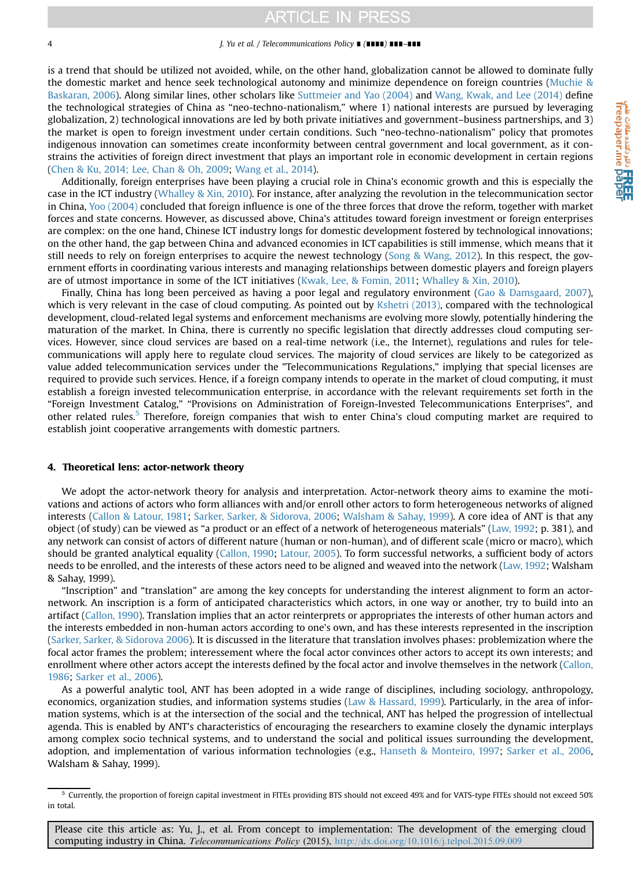#### 4 J. Yu et al. / Telecommunications Policy ∎ (∎∎∎∎) ∎∎∎–∎∎∎

is a trend that should be utilized not avoided, while, on the other hand, globalization cannot be allowed to dominate fully the domestic market and hence seek technological autonomy and minimize dependence on foreign countries [\(Muchie](#page-15-0) & [Baskaran, 2006\)](#page-15-0). Along similar lines, other scholars like [Suttmeier and Yao \(2004\)](#page-15-0) and [Wang, Kwak, and Lee \(2014\)](#page-16-0) define the technological strategies of China as "neo-techno-nationalism," where 1) national interests are pursued by leveraging globalization, 2) technological innovations are led by both private initiatives and government–business partnerships, and 3) the market is open to foreign investment under certain conditions. Such "neo-techno-nationalism" policy that promotes indigenous innovation can sometimes create inconformity between central government and local government, as it constrains the activities of foreign direct investment that plays an important role in economic development in certain regions ([Chen & Ku, 2014;](#page-14-0) [Lee, Chan](#page-15-0) & [Oh, 2009](#page-15-0); [Wang et al., 2014](#page-16-0)).

Additionally, foreign enterprises have been playing a crucial role in China's economic growth and this is especially the case in the ICT industry [\(Whalley & Xin, 2010](#page-16-0)). For instance, after analyzing the revolution in the telecommunication sector in China, [Yoo \(2004\)](#page-16-0) concluded that foreign influence is one of the three forces that drove the reform, together with market forces and state concerns. However, as discussed above, China's attitudes toward foreign investment or foreign enterprises are complex: on the one hand, Chinese ICT industry longs for domestic development fostered by technological innovations; on the other hand, the gap between China and advanced economies in ICT capabilities is still immense, which means that it still needs to rely on foreign enterprises to acquire the newest technology [\(Song & Wang, 2012\)](#page-15-0). In this respect, the government efforts in coordinating various interests and managing relationships between domestic players and foreign players are of utmost importance in some of the ICT initiatives ([Kwak, Lee, & Fomin, 2011](#page-15-0); [Whalley](#page-16-0) & [Xin, 2010\)](#page-16-0).

Finally, China has long been perceived as having a poor legal and regulatory environment ([Gao & Damsgaard, 2007](#page-15-0)), which is very relevant in the case of cloud computing. As pointed out by [Kshetri \(2013\)](#page-15-0), compared with the technological development, cloud-related legal systems and enforcement mechanisms are evolving more slowly, potentially hindering the maturation of the market. In China, there is currently no specific legislation that directly addresses cloud computing services. However, since cloud services are based on a real-time network (i.e., the Internet), regulations and rules for telecommunications will apply here to regulate cloud services. The majority of cloud services are likely to be categorized as value added telecommunication services under the "Telecommunications Regulations," implying that special licenses are required to provide such services. Hence, if a foreign company intends to operate in the market of cloud computing, it must establish a foreign invested telecommunication enterprise, in accordance with the relevant requirements set forth in the "Foreign Investment Catalog," "Provisions on Administration of Foreign-Invested Telecommunications Enterprises", and other related rules.5 Therefore, foreign companies that wish to enter China's cloud computing market are required to establish joint cooperative arrangements with domestic partners.

#### 4. Theoretical lens: actor-network theory

We adopt the actor-network theory for analysis and interpretation. Actor-network theory aims to examine the motivations and actions of actors who form alliances with and/or enroll other actors to form heterogeneous networks of aligned interests [\(Callon & Latour, 1981](#page-14-0); [Sarker, Sarker, & Sidorova, 2006;](#page-15-0) [Walsham & Sahay, 1999](#page-16-0)). A core idea of ANT is that any object (of study) can be viewed as "a product or an effect of a network of heterogeneous materials" [\(Law, 1992](#page-15-0); p. 381), and any network can consist of actors of different nature (human or non-human), and of different scale (micro or macro), which should be granted analytical equality ([Callon, 1990](#page-14-0); [Latour, 2005](#page-15-0)). To form successful networks, a sufficient body of actors needs to be enrolled, and the interests of these actors need to be aligned and weaved into the network [\(Law, 1992;](#page-15-0) Walsham & Sahay, 1999).

"Inscription" and "translation" are among the key concepts for understanding the interest alignment to form an actornetwork. An inscription is a form of anticipated characteristics which actors, in one way or another, try to build into an artifact ([Callon, 1990\)](#page-14-0). Translation implies that an actor reinterprets or appropriates the interests of other human actors and the interests embedded in non-human actors according to one's own, and has these interests represented in the inscription ([Sarker, Sarker,](#page-15-0) [& Sidorova 2006](#page-15-0)). It is discussed in the literature that translation involves phases: problemization where the focal actor frames the problem; interessement where the focal actor convinces other actors to accept its own interests; and enrollment where other actors accept the interests defined by the focal actor and involve themselves in the network ([Callon,](#page-14-0) [1986](#page-14-0); [Sarker et al., 2006](#page-15-0)).

As a powerful analytic tool, ANT has been adopted in a wide range of disciplines, including sociology, anthropology, economics, organization studies, and information systems studies ([Law & Hassard, 1999\)](#page-15-0). Particularly, in the area of information systems, which is at the intersection of the social and the technical, ANT has helped the progression of intellectual agenda. This is enabled by ANT's characteristics of encouraging the researchers to examine closely the dynamic interplays among complex socio technical systems, and to understand the social and political issues surrounding the development, adoption, and implementation of various information technologies (e.g., [Hanseth & Monteiro, 1997](#page-15-0); [Sarker et al., 2006](#page-15-0), Walsham & Sahay, 1999).

 $5$  Currently, the proportion of foreign capital investment in FITEs providing BTS should not exceed 49% and for VATS-type FITEs should not exceed 50% in total.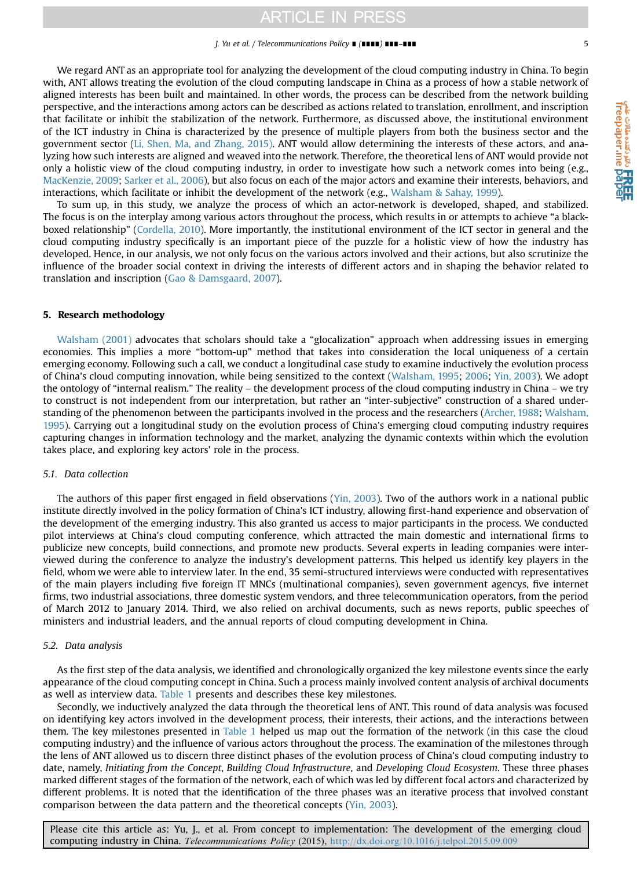#### J. Yu et al. / Telecommunications Policy ∎ (∎∎∎∎) ∎∎∎–∎∎∎ 5

We regard ANT as an appropriate tool for analyzing the development of the cloud computing industry in China. To begin with, ANT allows treating the evolution of the cloud computing landscape in China as a process of how a stable network of aligned interests has been built and maintained. In other words, the process can be described from the network building perspective, and the interactions among actors can be described as actions related to translation, enrollment, and inscription that facilitate or inhibit the stabilization of the network. Furthermore, as discussed above, the institutional environment of the ICT industry in China is characterized by the presence of multiple players from both the business sector and the government sector ([Li, Shen, Ma, and Zhang, 2015\).](#page-15-0) ANT would allow determining the interests of these actors, and analyzing how such interests are aligned and weaved into the network. Therefore, the theoretical lens of ANT would provide not only a holistic view of the cloud computing industry, in order to investigate how such a network comes into being (e.g., [MacKenzie, 2009](#page-15-0); [Sarker et al., 2006](#page-15-0)), but also focus on each of the major actors and examine their interests, behaviors, and interactions, which facilitate or inhibit the development of the network (e.g., [Walsham](#page-16-0) [& Sahay, 1999](#page-16-0)).

To sum up, in this study, we analyze the process of which an actor-network is developed, shaped, and stabilized. The focus is on the interplay among various actors throughout the process, which results in or attempts to achieve "a blackboxed relationship" [\(Cordella, 2010](#page-14-0)). More importantly, the institutional environment of the ICT sector in general and the cloud computing industry specifically is an important piece of the puzzle for a holistic view of how the industry has developed. Hence, in our analysis, we not only focus on the various actors involved and their actions, but also scrutinize the influence of the broader social context in driving the interests of different actors and in shaping the behavior related to translation and inscription ([Gao](#page-15-0) & [Damsgaard, 2007](#page-15-0)).

#### 5. Research methodology

[Walsham \(2001\)](#page-16-0) advocates that scholars should take a "glocalization" approach when addressing issues in emerging economies. This implies a more "bottom-up" method that takes into consideration the local uniqueness of a certain emerging economy. Following such a call, we conduct a longitudinal case study to examine inductively the evolution process of China's cloud computing innovation, while being sensitized to the context ([Walsham, 1995](#page-16-0); [2006](#page-16-0); [Yin, 2003\)](#page-16-0). We adopt the ontology of "internal realism." The reality – the development process of the cloud computing industry in China – we try to construct is not independent from our interpretation, but rather an "inter-subjective" construction of a shared understanding of the phenomenon between the participants involved in the process and the researchers ([Archer, 1988;](#page-14-0) [Walsham,](#page-16-0) [1995](#page-16-0)). Carrying out a longitudinal study on the evolution process of China's emerging cloud computing industry requires capturing changes in information technology and the market, analyzing the dynamic contexts within which the evolution takes place, and exploring key actors' role in the process.

#### 5.1. Data collection

The authors of this paper first engaged in field observations [\(Yin, 2003\)](#page-16-0). Two of the authors work in a national public institute directly involved in the policy formation of China's ICT industry, allowing first-hand experience and observation of the development of the emerging industry. This also granted us access to major participants in the process. We conducted pilot interviews at China's cloud computing conference, which attracted the main domestic and international firms to publicize new concepts, build connections, and promote new products. Several experts in leading companies were interviewed during the conference to analyze the industry's development patterns. This helped us identify key players in the field, whom we were able to interview later. In the end, 35 semi-structured interviews were conducted with representatives of the main players including five foreign IT MNCs (multinational companies), seven government agencys, five internet firms, two industrial associations, three domestic system vendors, and three telecommunication operators, from the period of March 2012 to January 2014. Third, we also relied on archival documents, such as news reports, public speeches of ministers and industrial leaders, and the annual reports of cloud computing development in China.

#### 5.2. Data analysis

As the first step of the data analysis, we identified and chronologically organized the key milestone events since the early appearance of the cloud computing concept in China. Such a process mainly involved content analysis of archival documents as well as interview data. [Table 1](#page-5-0) presents and describes these key milestones.

Secondly, we inductively analyzed the data through the theoretical lens of ANT. This round of data analysis was focused on identifying key actors involved in the development process, their interests, their actions, and the interactions between them. The key milestones presented in [Table 1](#page-10-0) helped us map out the formation of the network (in this case the cloud computing industry) and the influence of various actors throughout the process. The examination of the milestones through the lens of ANT allowed us to discern three distinct phases of the evolution process of China's cloud computing industry to date, namely, Initiating from the Concept, Building Cloud Infrastructure, and Developing Cloud Ecosystem. These three phases marked different stages of the formation of the network, each of which was led by different focal actors and characterized by different problems. It is noted that the identification of the three phases was an iterative process that involved constant comparison between the data pattern and the theoretical concepts ([Yin, 2003](#page-16-0)).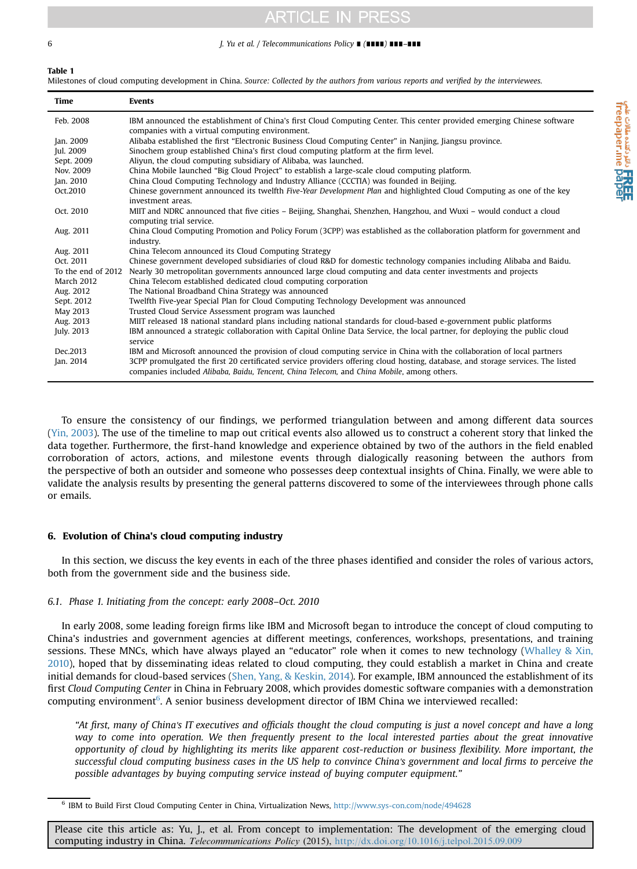#### <span id="page-5-0"></span>6 J. Yu et al. / Telecommunications Policy ∎ (∎∎∎∎) ∎∎∎–∎∎∎

#### Table 1

Milestones of cloud computing development in China. Source: Collected by the authors from various reports and verified by the interviewees.

| Time               | <b>Events</b>                                                                                                                                                                                                                 |
|--------------------|-------------------------------------------------------------------------------------------------------------------------------------------------------------------------------------------------------------------------------|
| Feb. 2008          | IBM announced the establishment of China's first Cloud Computing Center. This center provided emerging Chinese software                                                                                                       |
|                    | companies with a virtual computing environment.                                                                                                                                                                               |
| Jan. 2009          | Alibaba established the first "Electronic Business Cloud Computing Center" in Nanjing, Jiangsu province.                                                                                                                      |
| Jul. 2009          | Sinochem group established China's first cloud computing platform at the firm level.                                                                                                                                          |
| Sept. 2009         | Aliyun, the cloud computing subsidiary of Alibaba, was launched.                                                                                                                                                              |
| Nov. 2009          | China Mobile launched "Big Cloud Project" to establish a large-scale cloud computing platform.                                                                                                                                |
| Jan. 2010          | China Cloud Computing Technology and Industry Alliance (CCCTIA) was founded in Beijing.                                                                                                                                       |
| Oct.2010           | Chinese government announced its twelfth Five-Year Development Plan and highlighted Cloud Computing as one of the key<br>investment areas.                                                                                    |
| Oct. 2010          | MIIT and NDRC announced that five cities – Beijing, Shanghai, Shenzhen, Hangzhou, and Wuxi – would conduct a cloud<br>computing trial service.                                                                                |
| Aug. 2011          | China Cloud Computing Promotion and Policy Forum (3CPP) was established as the collaboration platform for government and                                                                                                      |
|                    | industry.                                                                                                                                                                                                                     |
| Aug. 2011          | China Telecom announced its Cloud Computing Strategy                                                                                                                                                                          |
| Oct. 2011          | Chinese government developed subsidiaries of cloud R&D for domestic technology companies including Alibaba and Baidu.                                                                                                         |
| To the end of 2012 | Nearly 30 metropolitan governments announced large cloud computing and data center investments and projects                                                                                                                   |
| <b>March 2012</b>  | China Telecom established dedicated cloud computing corporation                                                                                                                                                               |
| Aug. 2012          | The National Broadband China Strategy was announced                                                                                                                                                                           |
| Sept. 2012         | Twelfth Five-year Special Plan for Cloud Computing Technology Development was announced                                                                                                                                       |
| May 2013           | Trusted Cloud Service Assessment program was launched                                                                                                                                                                         |
| Aug. 2013          | MIIT released 18 national standard plans including national standards for cloud-based e-government public platforms                                                                                                           |
| July. 2013         | IBM announced a strategic collaboration with Capital Online Data Service, the local partner, for deploying the public cloud<br>service                                                                                        |
| Dec.2013           | IBM and Microsoft announced the provision of cloud computing service in China with the collaboration of local partners                                                                                                        |
| Jan. 2014          | 3CPP promulgated the first 20 certificated service providers offering cloud hosting, database, and storage services. The listed<br>companies included Alibaba, Baidu, Tencent, China Telecom, and China Mobile, among others. |

To ensure the consistency of our findings, we performed triangulation between and among different data sources ([Yin, 2003\)](#page-16-0). The use of the timeline to map out critical events also allowed us to construct a coherent story that linked the data together. Furthermore, the first-hand knowledge and experience obtained by two of the authors in the field enabled corroboration of actors, actions, and milestone events through dialogically reasoning between the authors from the perspective of both an outsider and someone who possesses deep contextual insights of China. Finally, we were able to validate the analysis results by presenting the general patterns discovered to some of the interviewees through phone calls or emails.

### 6. Evolution of China's cloud computing industry

In this section, we discuss the key events in each of the three phases identified and consider the roles of various actors, both from the government side and the business side.

#### 6.1. Phase 1. Initiating from the concept: early 2008–Oct. 2010

In early 2008, some leading foreign firms like IBM and Microsoft began to introduce the concept of cloud computing to China's industries and government agencies at different meetings, conferences, workshops, presentations, and training sessions. These MNCs, which have always played an "educator" role when it comes to new technology [\(Whalley](#page-16-0) & [Xin,](#page-16-0) [2010](#page-16-0)), hoped that by disseminating ideas related to cloud computing, they could establish a market in China and create initial demands for cloud-based services [\(Shen, Yang, & Keskin, 2014\)](#page-15-0). For example, IBM announced the establishment of its first Cloud Computing Center in China in February 2008, which provides domestic software companies with a demonstration computing environment<sup>6</sup>. A senior business development director of IBM China we interviewed recalled:

"At first, many of China's IT executives and officials thought the cloud computing is just a novel concept and have a long way to come into operation. We then frequently present to the local interested parties about the great innovative opportunity of cloud by highlighting its merits like apparent cost-reduction or business flexibility. More important, the successful cloud computing business cases in the US help to convince China's government and local firms to perceive the possible advantages by buying computing service instead of buying computer equipment."

<sup>6</sup> IBM to Build First Cloud Computing Center in China, Virtualization News, <http://www.sys-con.com/node/494628>

**یا دائرد کننده مقالات علمی**<br>freepaper.me **pap**e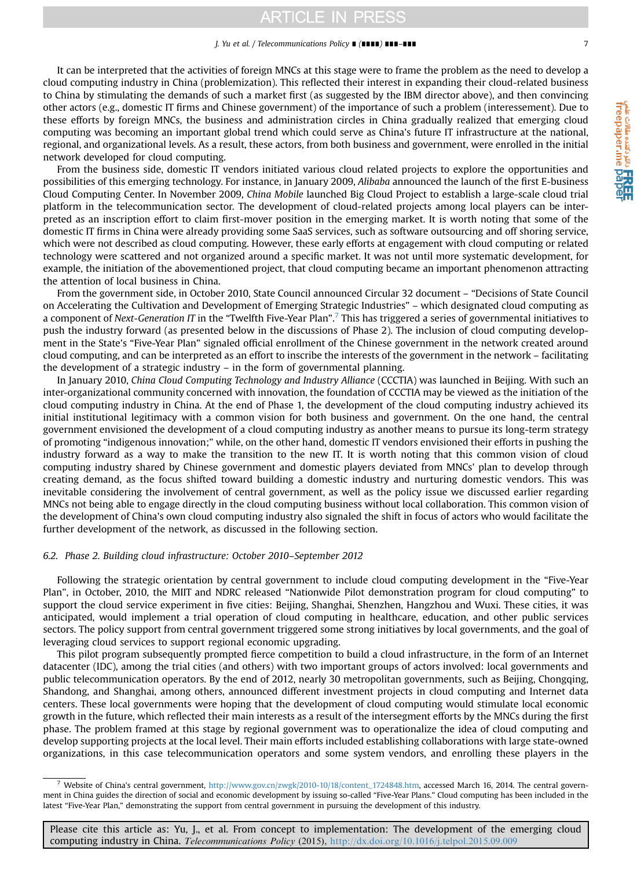#### J. Yu et al. / Telecommunications Policy ∎ (∎∎∎∎) ∎∎∎–∎∎∎ 7

It can be interpreted that the activities of foreign MNCs at this stage were to frame the problem as the need to develop a cloud computing industry in China (problemization). This reflected their interest in expanding their cloud-related business to China by stimulating the demands of such a market first (as suggested by the IBM director above), and then convincing other actors (e.g., domestic IT firms and Chinese government) of the importance of such a problem (interessement). Due to these efforts by foreign MNCs, the business and administration circles in China gradually realized that emerging cloud computing was becoming an important global trend which could serve as China's future IT infrastructure at the national, regional, and organizational levels. As a result, these actors, from both business and government, were enrolled in the initial network developed for cloud computing.

From the business side, domestic IT vendors initiated various cloud related projects to explore the opportunities and possibilities of this emerging technology. For instance, in January 2009, Alibaba announced the launch of the first E-business Cloud Computing Center. In November 2009, China Mobile launched Big Cloud Project to establish a large-scale cloud trial platform in the telecommunication sector. The development of cloud-related projects among local players can be interpreted as an inscription effort to claim first-mover position in the emerging market. It is worth noting that some of the domestic IT firms in China were already providing some SaaS services, such as software outsourcing and off shoring service, which were not described as cloud computing. However, these early efforts at engagement with cloud computing or related technology were scattered and not organized around a specific market. It was not until more systematic development, for example, the initiation of the abovementioned project, that cloud computing became an important phenomenon attracting the attention of local business in China.

From the government side, in October 2010, State Council announced Circular 32 document – "Decisions of State Council on Accelerating the Cultivation and Development of Emerging Strategic Industries" – which designated cloud computing as a component of Next-Generation IT in the "Twelfth Five-Year Plan".<sup>7</sup> This has triggered a series of governmental initiatives to push the industry forward (as presented below in the discussions of Phase 2). The inclusion of cloud computing development in the State's "Five-Year Plan" signaled official enrollment of the Chinese government in the network created around cloud computing, and can be interpreted as an effort to inscribe the interests of the government in the network – facilitating the development of a strategic industry – in the form of governmental planning.

In January 2010, China Cloud Computing Technology and Industry Alliance (CCCTIA) was launched in Beijing. With such an inter-organizational community concerned with innovation, the foundation of CCCTIA may be viewed as the initiation of the cloud computing industry in China. At the end of Phase 1, the development of the cloud computing industry achieved its initial institutional legitimacy with a common vision for both business and government. On the one hand, the central government envisioned the development of a cloud computing industry as another means to pursue its long-term strategy of promoting "indigenous innovation;" while, on the other hand, domestic IT vendors envisioned their efforts in pushing the industry forward as a way to make the transition to the new IT. It is worth noting that this common vision of cloud computing industry shared by Chinese government and domestic players deviated from MNCs' plan to develop through creating demand, as the focus shifted toward building a domestic industry and nurturing domestic vendors. This was inevitable considering the involvement of central government, as well as the policy issue we discussed earlier regarding MNCs not being able to engage directly in the cloud computing business without local collaboration. This common vision of the development of China's own cloud computing industry also signaled the shift in focus of actors who would facilitate the further development of the network, as discussed in the following section.

#### 6.2. Phase 2. Building cloud infrastructure: October 2010–September 2012

Following the strategic orientation by central government to include cloud computing development in the "Five-Year Plan", in October, 2010, the MIIT and NDRC released "Nationwide Pilot demonstration program for cloud computing" to support the cloud service experiment in five cities: Beijing, Shanghai, Shenzhen, Hangzhou and Wuxi. These cities, it was anticipated, would implement a trial operation of cloud computing in healthcare, education, and other public services sectors. The policy support from central government triggered some strong initiatives by local governments, and the goal of leveraging cloud services to support regional economic upgrading.

This pilot program subsequently prompted fierce competition to build a cloud infrastructure, in the form of an Internet datacenter (IDC), among the trial cities (and others) with two important groups of actors involved: local governments and public telecommunication operators. By the end of 2012, nearly 30 metropolitan governments, such as Beijing, Chongqing, Shandong, and Shanghai, among others, announced different investment projects in cloud computing and Internet data centers. These local governments were hoping that the development of cloud computing would stimulate local economic growth in the future, which reflected their main interests as a result of the intersegment efforts by the MNCs during the first phase. The problem framed at this stage by regional government was to operationalize the idea of cloud computing and develop supporting projects at the local level. Their main efforts included establishing collaborations with large state-owned organizations, in this case telecommunication operators and some system vendors, and enrolling these players in the

<sup>7</sup> Website of China's central government, [http://www.gov.cn/zwgk/2010-10/18/content\\_1724848.htm](http://www.gov.cn/zwgk/2010-10/18/content_1724848.htm), accessed March 16, 2014. The central government in China guides the direction of social and economic development by issuing so-called "Five-Year Plans." Cloud computing has been included in the latest "Five-Year Plan," demonstrating the support from central government in pursuing the development of this industry.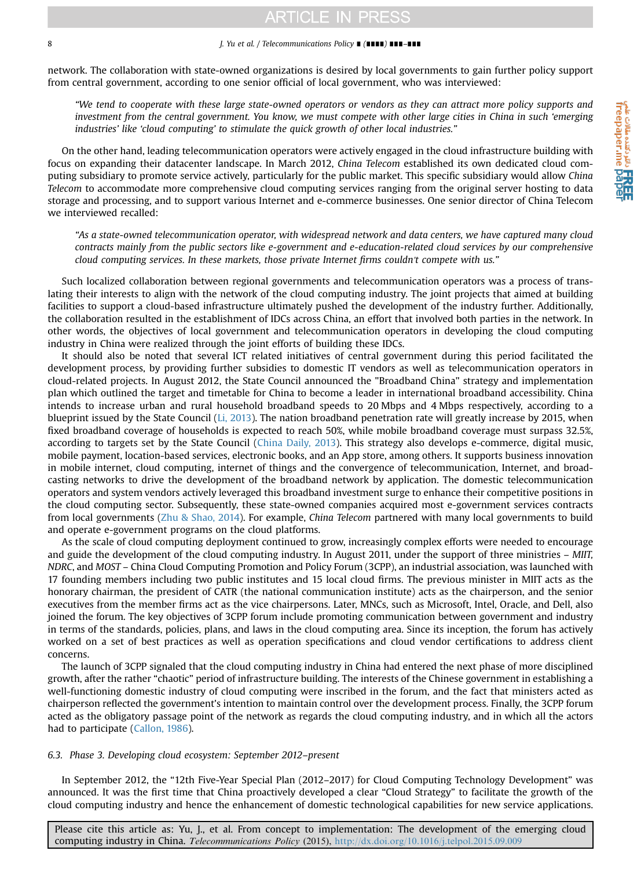#### 8 J. Yu et al. / Telecommunications Policy ∎ (∎∎∎∎) ∎∎∎–∎∎∎

network. The collaboration with state-owned organizations is desired by local governments to gain further policy support from central government, according to one senior official of local government, who was interviewed:

"We tend to cooperate with these large state-owned operators or vendors as they can attract more policy supports and investment from the central government. You know, we must compete with other large cities in China in such 'emerging industries' like 'cloud computing' to stimulate the quick growth of other local industries."

On the other hand, leading telecommunication operators were actively engaged in the cloud infrastructure building with focus on expanding their datacenter landscape. In March 2012, China Telecom established its own dedicated cloud computing subsidiary to promote service actively, particularly for the public market. This specific subsidiary would allow China Telecom to accommodate more comprehensive cloud computing services ranging from the original server hosting to data storage and processing, and to support various Internet and e-commerce businesses. One senior director of China Telecom we interviewed recalled:

"As a state-owned telecommunication operator, with widespread network and data centers, we have captured many cloud contracts mainly from the public sectors like e-government and e-education-related cloud services by our comprehensive cloud computing services. In these markets, those private Internet firms couldn't compete with us."

Such localized collaboration between regional governments and telecommunication operators was a process of translating their interests to align with the network of the cloud computing industry. The joint projects that aimed at building facilities to support a cloud-based infrastructure ultimately pushed the development of the industry further. Additionally, the collaboration resulted in the establishment of IDCs across China, an effort that involved both parties in the network. In other words, the objectives of local government and telecommunication operators in developing the cloud computing industry in China were realized through the joint efforts of building these IDCs.

It should also be noted that several ICT related initiatives of central government during this period facilitated the development process, by providing further subsidies to domestic IT vendors as well as telecommunication operators in cloud-related projects. In August 2012, the State Council announced the "Broadband China" strategy and implementation plan which outlined the target and timetable for China to become a leader in international broadband accessibility. China intends to increase urban and rural household broadband speeds to 20 Mbps and 4 Mbps respectively, according to a blueprint issued by the State Council ([Li, 2013](#page-15-0)). The nation broadband penetration rate will greatly increase by 2015, when fixed broadband coverage of households is expected to reach 50%, while mobile broadband coverage must surpass 32.5%, according to targets set by the State Council ([China Daily, 2013](#page-14-0)). This strategy also develops e-commerce, digital music, mobile payment, location-based services, electronic books, and an App store, among others. It supports business innovation in mobile internet, cloud computing, internet of things and the convergence of telecommunication, Internet, and broadcasting networks to drive the development of the broadband network by application. The domestic telecommunication operators and system vendors actively leveraged this broadband investment surge to enhance their competitive positions in the cloud computing sector. Subsequently, these state-owned companies acquired most e-government services contracts from local governments ([Zhu](#page-16-0) & [Shao, 2014\)](#page-16-0). For example, China Telecom partnered with many local governments to build and operate e-government programs on the cloud platforms.

As the scale of cloud computing deployment continued to grow, increasingly complex efforts were needed to encourage and guide the development of the cloud computing industry. In August 2011, under the support of three ministries – MIIT, NDRC, and MOST – China Cloud Computing Promotion and Policy Forum (3CPP), an industrial association, was launched with 17 founding members including two public institutes and 15 local cloud firms. The previous minister in MIIT acts as the honorary chairman, the president of CATR (the national communication institute) acts as the chairperson, and the senior executives from the member firms act as the vice chairpersons. Later, MNCs, such as Microsoft, Intel, Oracle, and Dell, also joined the forum. The key objectives of 3CPP forum include promoting communication between government and industry in terms of the standards, policies, plans, and laws in the cloud computing area. Since its inception, the forum has actively worked on a set of best practices as well as operation specifications and cloud vendor certifications to address client concerns.

The launch of 3CPP signaled that the cloud computing industry in China had entered the next phase of more disciplined growth, after the rather "chaotic" period of infrastructure building. The interests of the Chinese government in establishing a well-functioning domestic industry of cloud computing were inscribed in the forum, and the fact that ministers acted as chairperson reflected the government's intention to maintain control over the development process. Finally, the 3CPP forum acted as the obligatory passage point of the network as regards the cloud computing industry, and in which all the actors had to participate ([Callon, 1986\)](#page-14-0).

#### 6.3. Phase 3. Developing cloud ecosystem: September 2012–present

In September 2012, the "12th Five-Year Special Plan (2012–2017) for Cloud Computing Technology Development" was announced. It was the first time that China proactively developed a clear "Cloud Strategy" to facilitate the growth of the cloud computing industry and hence the enhancement of domestic technological capabilities for new service applications.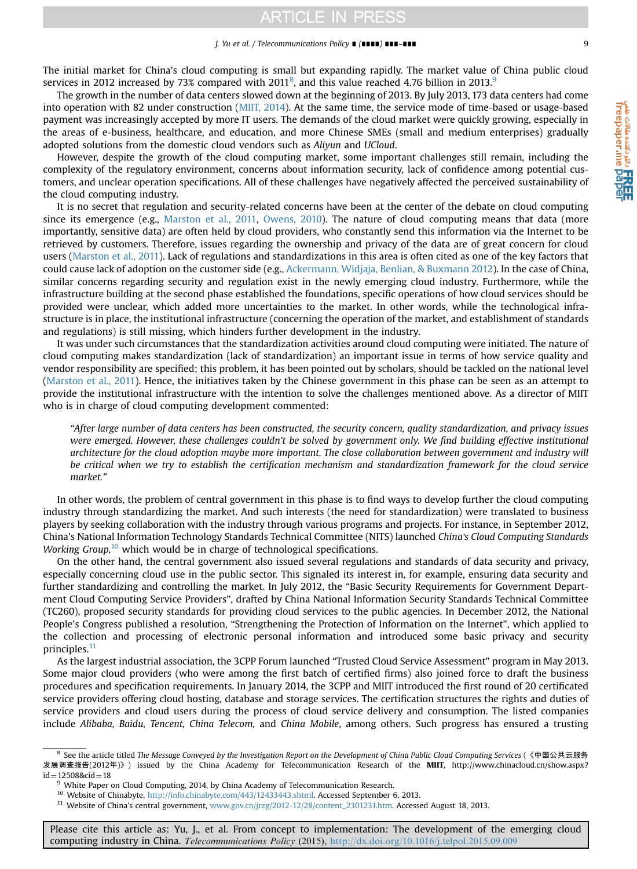#### J. Yu et al. / Telecommunications Policy ∎ (∎∎∎∎) ∎∎∎–∎∎∎ 9

The initial market for China's cloud computing is small but expanding rapidly. The market value of China public cloud services in 2012 increased by 73% compared with 2011<sup>8</sup>, and this value reached 4.76 billion in 2013.<sup>9</sup>

The growth in the number of data centers slowed down at the beginning of 2013. By July 2013, 173 data centers had come into operation with 82 under construction [\(MIIT, 2014\)](#page-15-0). At the same time, the service mode of time-based or usage-based payment was increasingly accepted by more IT users. The demands of the cloud market were quickly growing, especially in the areas of e-business, healthcare, and education, and more Chinese SMEs (small and medium enterprises) gradually adopted solutions from the domestic cloud vendors such as Aliyun and UCloud.

However, despite the growth of the cloud computing market, some important challenges still remain, including the complexity of the regulatory environment, concerns about information security, lack of confidence among potential customers, and unclear operation specifications. All of these challenges have negatively affected the perceived sustainability of the cloud computing industry.

It is no secret that regulation and security-related concerns have been at the center of the debate on cloud computing since its emergence (e.g., [Marston et al., 2011](#page-15-0), [Owens, 2010](#page-15-0)). The nature of cloud computing means that data (more importantly, sensitive data) are often held by cloud providers, who constantly send this information via the Internet to be retrieved by customers. Therefore, issues regarding the ownership and privacy of the data are of great concern for cloud users [\(Marston et al., 2011](#page-15-0)). Lack of regulations and standardizations in this area is often cited as one of the key factors that could cause lack of adoption on the customer side (e.g., [Ackermann, Widjaja, Benlian,](#page-14-0) & [Buxmann 2012](#page-14-0)). In the case of China, similar concerns regarding security and regulation exist in the newly emerging cloud industry. Furthermore, while the infrastructure building at the second phase established the foundations, specific operations of how cloud services should be provided were unclear, which added more uncertainties to the market. In other words, while the technological infrastructure is in place, the institutional infrastructure (concerning the operation of the market, and establishment of standards and regulations) is still missing, which hinders further development in the industry.

It was under such circumstances that the standardization activities around cloud computing were initiated. The nature of cloud computing makes standardization (lack of standardization) an important issue in terms of how service quality and vendor responsibility are specified; this problem, it has been pointed out by scholars, should be tackled on the national level ([Marston et al., 2011\)](#page-15-0). Hence, the initiatives taken by the Chinese government in this phase can be seen as an attempt to provide the institutional infrastructure with the intention to solve the challenges mentioned above. As a director of MIIT who is in charge of cloud computing development commented:

"After large number of data centers has been constructed, the security concern, quality standardization, and privacy issues were emerged. However, these challenges couldn't be solved by government only. We find building effective institutional architecture for the cloud adoption maybe more important. The close collaboration between government and industry will be critical when we try to establish the certification mechanism and standardization framework for the cloud service market."

In other words, the problem of central government in this phase is to find ways to develop further the cloud computing industry through standardizing the market. And such interests (the need for standardization) were translated to business players by seeking collaboration with the industry through various programs and projects. For instance, in September 2012, China's National Information Technology Standards Technical Committee (NITS) launched China's Cloud Computing Standards Working Group, $10$  which would be in charge of technological specifications.

On the other hand, the central government also issued several regulations and standards of data security and privacy, especially concerning cloud use in the public sector. This signaled its interest in, for example, ensuring data security and further standardizing and controlling the market. In July 2012, the "Basic Security Requirements for Government Department Cloud Computing Service Providers", drafted by China National Information Security Standards Technical Committee (TC260), proposed security standards for providing cloud services to the public agencies. In December 2012, the National People's Congress published a resolution, "Strengthening the Protection of Information on the Internet", which applied to the collection and processing of electronic personal information and introduced some basic privacy and security principles.<sup>11</sup>

As the largest industrial association, the 3CPP Forum launched "Trusted Cloud Service Assessment" program in May 2013. Some major cloud providers (who were among the first batch of certified firms) also joined force to draft the business procedures and specification requirements. In January 2014, the 3CPP and MIIT introduced the first round of 20 certificated service providers offering cloud hosting, database and storage services. The certification structures the rights and duties of service providers and cloud users during the process of cloud service delivery and consumption. The listed companies include Alibaba, Baidu, Tencent, China Telecom, and China Mobile, among others. Such progress has ensured a trusting

<sup>8</sup> See the article titled The Message Conveyed by the Investigation Report on the Development of China Public Cloud Computing Services (《中国公共云服务 发展调查报告(2012年)》) issued by the China Academy for Telecommunication Research of the **MIIT**, http://www.chinacloud.cn/show.aspx? id = 12508&cid = 18<br><sup>9</sup> White Paper on Cloud Computing, 2014, by China Academy of Telecommunication Research.

<sup>10</sup> Website of Chinabyte, <http://info.chinabyte.com/443/12433443.shtml>. Accessed September 6, 2013.

<sup>11</sup> Website of China's central government, [www.gov.cn/jrzg/2012-12/28/content\\_2301231.htm](http://www.gov.cn/jrzg/2012-12/28/content_2301231.htm). Accessed August 18, 2013.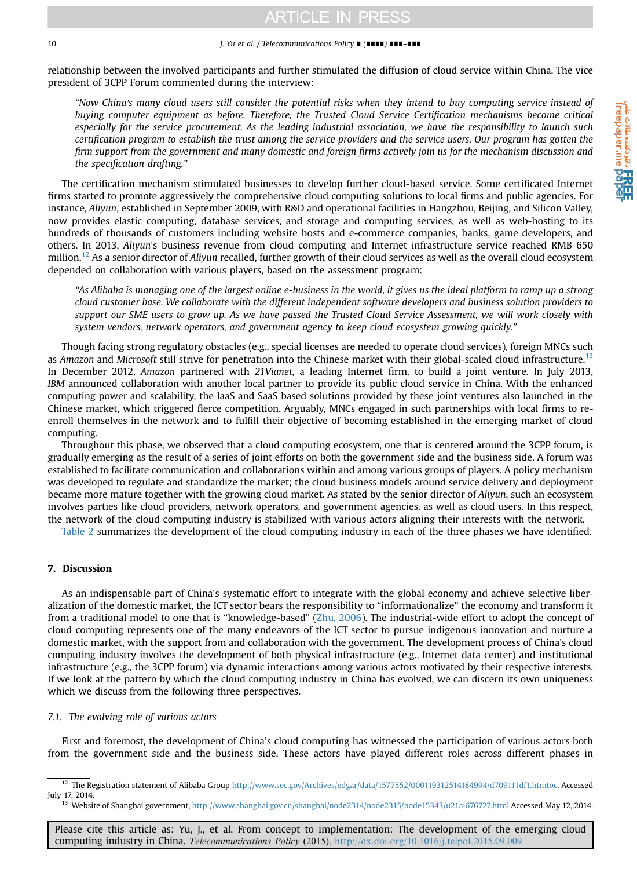relationship between the involved participants and further stimulated the diffusion of cloud service within China. The vice president of 3CPP Forum commented during the interview:

"Now China's many cloud users still consider the potential risks when they intend to buy computing service instead of buying computer equipment as before. Therefore, the Trusted Cloud Service Certification mechanisms become critical especially for the service procurement. As the leading industrial association, we have the responsibility to launch such certification program to establish the trust among the service providers and the service users. Our program has gotten the firm support from the government and many domestic and foreign firms actively join us for the mechanism discussion and the specification drafting."

The certification mechanism stimulated businesses to develop further cloud-based service. Some certificated Internet firms started to promote aggressively the comprehensive cloud computing solutions to local firms and public agencies. For instance, Aliyun, established in September 2009, with R&D and operational facilities in Hangzhou, Beijing, and Silicon Valley, now provides elastic computing, database services, and storage and computing services, as well as web-hosting to its hundreds of thousands of customers including website hosts and e-commerce companies, banks, game developers, and others. In 2013, Aliyun's business revenue from cloud computing and Internet infrastructure service reached RMB 650 million.<sup>12</sup> As a senior director of Aliyun recalled, further growth of their cloud services as well as the overall cloud ecosystem depended on collaboration with various players, based on the assessment program:

"As Alibaba is managing one of the largest online e-business in the world, it gives us the ideal platform to ramp up a strong cloud customer base. We collaborate with the different independent software developers and business solution providers to support our SME users to grow up. As we have passed the Trusted Cloud Service Assessment, we will work closely with system vendors, network operators, and government agency to keep cloud ecosystem growing quickly."

Though facing strong regulatory obstacles (e.g., special licenses are needed to operate cloud services), foreign MNCs such as Amazon and Microsoft still strive for penetration into the Chinese market with their global-scaled cloud infrastructure.<sup>13</sup> In December 2012, Amazon partnered with 21Vianet, a leading Internet firm, to build a joint venture. In July 2013, IBM announced collaboration with another local partner to provide its public cloud service in China. With the enhanced computing power and scalability, the IaaS and SaaS based solutions provided by these joint ventures also launched in the Chinese market, which triggered fierce competition. Arguably, MNCs engaged in such partnerships with local firms to reenroll themselves in the network and to fulfill their objective of becoming established in the emerging market of cloud computing.

Throughout this phase, we observed that a cloud computing ecosystem, one that is centered around the 3CPP forum, is gradually emerging as the result of a series of joint efforts on both the government side and the business side. A forum was established to facilitate communication and collaborations within and among various groups of players. A policy mechanism was developed to regulate and standardize the market; the cloud business models around service delivery and deployment became more mature together with the growing cloud market. As stated by the senior director of Aliyun, such an ecosystem involves parties like cloud providers, network operators, and government agencies, as well as cloud users. In this respect, the network of the cloud computing industry is stabilized with various actors aligning their interests with the network.

[Table 2](#page-10-0) summarizes the development of the cloud computing industry in each of the three phases we have identified.

#### 7. Discussion

As an indispensable part of China's systematic effort to integrate with the global economy and achieve selective liberalization of the domestic market, the ICT sector bears the responsibility to "informationalize" the economy and transform it from a traditional model to one that is "knowledge-based" ([Zhu, 2006](#page-16-0)). The industrial-wide effort to adopt the concept of cloud computing represents one of the many endeavors of the ICT sector to pursue indigenous innovation and nurture a domestic market, with the support from and collaboration with the government. The development process of China's cloud computing industry involves the development of both physical infrastructure (e.g., Internet data center) and institutional infrastructure (e.g., the 3CPP forum) via dynamic interactions among various actors motivated by their respective interests. If we look at the pattern by which the cloud computing industry in China has evolved, we can discern its own uniqueness which we discuss from the following three perspectives.

#### 7.1. The evolving role of various actors

First and foremost, the development of China's cloud computing has witnessed the participation of various actors both from the government side and the business side. These actors have played different roles across different phases in

<sup>&</sup>lt;sup>12</sup> The Registration statement of Alibaba Group [http://www.sec.gov/Archives/edgar/data/1577552/000119312514184994/d709111df1.htmtoc](http://www.sec.gov/Archives/edgar/data/1577552/000119312514184994/d709111df1.htm%23toc). Accessed July 17, 2014.

<sup>&</sup>lt;sup>13</sup> Website of Shanghai government, <http://www.shanghai.gov.cn/shanghai/node2314/node2315/node15343/u21ai676727.html> Accessed May 12, 2014.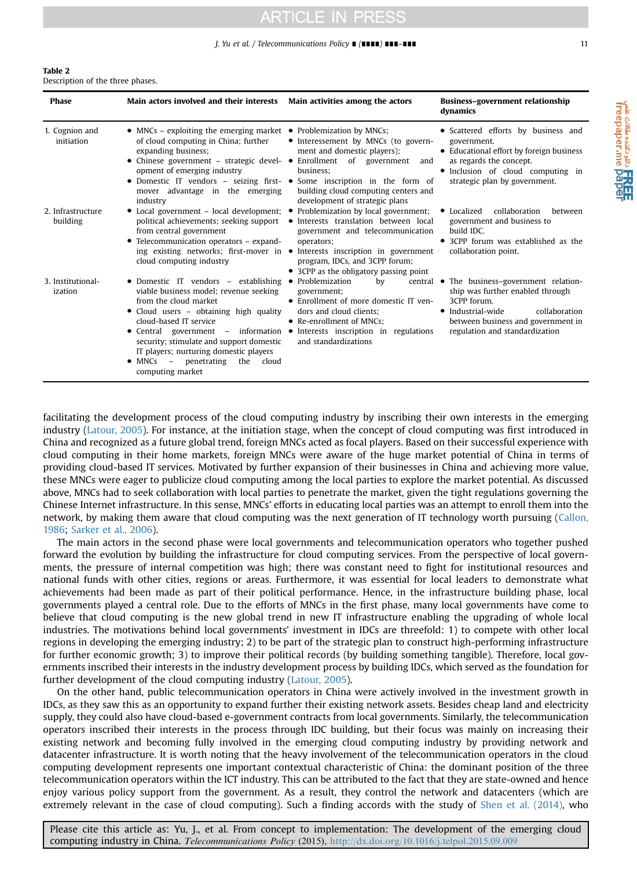#### J. Yu et al. / Telecommunications Policy ∎ (∎∎∎∎) ∎∎∎–∎∎∎ 11

#### <span id="page-10-0"></span>Table 2

Description of the three phases.

| <b>Phase</b>                  | Main actors involved and their interests Main activities among the actors                                                                                                                                                                                                                                                                                                                                 |                                                                                                                                                                                                                                                                                                                 | <b>Business-government relationship</b><br>dynamics                                                                                                                                                                 |
|-------------------------------|-----------------------------------------------------------------------------------------------------------------------------------------------------------------------------------------------------------------------------------------------------------------------------------------------------------------------------------------------------------------------------------------------------------|-----------------------------------------------------------------------------------------------------------------------------------------------------------------------------------------------------------------------------------------------------------------------------------------------------------------|---------------------------------------------------------------------------------------------------------------------------------------------------------------------------------------------------------------------|
| 1. Cognion and<br>initiation  | • MNCs – exploiting the emerging market • Problemization by MNCs;<br>of cloud computing in China; further<br>expanding business;<br>• Chinese government – strategic devel- • Enrollment of government<br>opment of emerging industry<br>• Domestic IT vendors – seizing first- • Some inscription in the form of<br>mover advantage in the emerging<br>industry                                          | • Interessement by MNCs (to govern-<br>ment and domestic players);<br>and<br>business:<br>building cloud computing centers and<br>development of strategic plans                                                                                                                                                | • Scattered efforts by business and<br>government.<br>• Educational effort by foreign business<br>as regards the concept.<br>· Inclusion of cloud computing in<br>strategic plan by government.                     |
| 2. Infrastructure<br>building | • Local government – local development;<br>political achievements; seeking support<br>from central government<br>Telecommunication operators - expand-<br>cloud computing industry                                                                                                                                                                                                                        | • Problemization by local government; • Localized<br>• Interests translation between local<br>government and telecommunication<br>operators;<br>ing existing networks; first-mover in $\bullet$ Interests inscription in government<br>program, IDCs, and 3CPP forum;<br>• 3CPP as the obligatory passing point | collaboration<br>between<br>government and business to<br>build IDC.<br>• 3CPP forum was established as the<br>collaboration point.                                                                                 |
| 3. Institutional-<br>ization  | • Domestic IT vendors – establishing<br>viable business model; revenue seeking<br>from the cloud market<br>• Cloud users - obtaining high quality<br>cloud-based IT service<br>• Central government $-$ information • Interests inscription in regulations<br>security; stimulate and support domestic<br>IT players; nurturing domestic players<br>• MNCs – penetrating<br>the cloud<br>computing market | $\bullet$ Problemization<br>by<br>government;<br>• Enrollment of more domestic IT ven-<br>dors and cloud clients:<br>• Re-enrollment of MNCs:<br>and standardizations                                                                                                                                           | central • The business-government relation-<br>ship was further enabled through<br>3CPP forum<br>collaboration<br>$\bullet$ Industrial-wide<br>between business and government in<br>regulation and standardization |

facilitating the development process of the cloud computing industry by inscribing their own interests in the emerging industry [\(Latour, 2005](#page-15-0)). For instance, at the initiation stage, when the concept of cloud computing was first introduced in China and recognized as a future global trend, foreign MNCs acted as focal players. Based on their successful experience with cloud computing in their home markets, foreign MNCs were aware of the huge market potential of China in terms of providing cloud-based IT services. Motivated by further expansion of their businesses in China and achieving more value, these MNCs were eager to publicize cloud computing among the local parties to explore the market potential. As discussed above, MNCs had to seek collaboration with local parties to penetrate the market, given the tight regulations governing the Chinese Internet infrastructure. In this sense, MNCs' efforts in educating local parties was an attempt to enroll them into the network, by making them aware that cloud computing was the next generation of IT technology worth pursuing ([Callon,](#page-14-0) [1986](#page-14-0); [Sarker et al., 2006](#page-15-0)).

The main actors in the second phase were local governments and telecommunication operators who together pushed forward the evolution by building the infrastructure for cloud computing services. From the perspective of local governments, the pressure of internal competition was high; there was constant need to fight for institutional resources and national funds with other cities, regions or areas. Furthermore, it was essential for local leaders to demonstrate what achievements had been made as part of their political performance. Hence, in the infrastructure building phase, local governments played a central role. Due to the efforts of MNCs in the first phase, many local governments have come to believe that cloud computing is the new global trend in new IT infrastructure enabling the upgrading of whole local industries. The motivations behind local governments' investment in IDCs are threefold: 1) to compete with other local regions in developing the emerging industry; 2) to be part of the strategic plan to construct high-performing infrastructure for further economic growth; 3) to improve their political records (by building something tangible). Therefore, local governments inscribed their interests in the industry development process by building IDCs, which served as the foundation for further development of the cloud computing industry ([Latour, 2005](#page-15-0)).

On the other hand, public telecommunication operators in China were actively involved in the investment growth in IDCs, as they saw this as an opportunity to expand further their existing network assets. Besides cheap land and electricity supply, they could also have cloud-based e-government contracts from local governments. Similarly, the telecommunication operators inscribed their interests in the process through IDC building, but their focus was mainly on increasing their existing network and becoming fully involved in the emerging cloud computing industry by providing network and datacenter infrastructure. It is worth noting that the heavy involvement of the telecommunication operators in the cloud computing development represents one important contextual characteristic of China: the dominant position of the three telecommunication operators within the ICT industry. This can be attributed to the fact that they are state-owned and hence enjoy various policy support from the government. As a result, they control the network and datacenters (which are extremely relevant in the case of cloud computing). Such a finding accords with the study of [Shen et al. \(2014\),](#page-15-0) who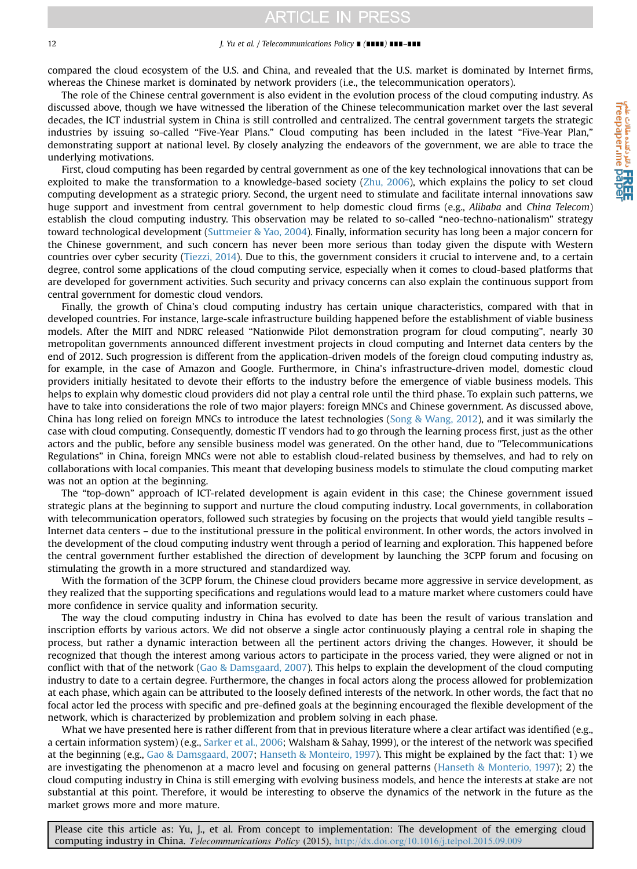#### 12 J. Yu et al. / Telecommunications Policy ∎ (∎∎∎∎) ∎∎∎–∎∎∎

compared the cloud ecosystem of the U.S. and China, and revealed that the U.S. market is dominated by Internet firms, whereas the Chinese market is dominated by network providers (i.e., the telecommunication operators).

The role of the Chinese central government is also evident in the evolution process of the cloud computing industry. As discussed above, though we have witnessed the liberation of the Chinese telecommunication market over the last several decades, the ICT industrial system in China is still controlled and centralized. The central government targets the strategic industries by issuing so-called "Five-Year Plans." Cloud computing has been included in the latest "Five-Year Plan," demonstrating support at national level. By closely analyzing the endeavors of the government, we are able to trace the underlying motivations.

First, cloud computing has been regarded by central government as one of the key technological innovations that can be exploited to make the transformation to a knowledge-based society ([Zhu, 2006](#page-16-0)), which explains the policy to set cloud computing development as a strategic priory. Second, the urgent need to stimulate and facilitate internal innovations saw huge support and investment from central government to help domestic cloud firms (e.g., Alibaba and China Telecom) establish the cloud computing industry. This observation may be related to so-called "neo-techno-nationalism" strategy toward technological development ([Suttmeier](#page-15-0) [& Yao, 2004](#page-15-0)). Finally, information security has long been a major concern for the Chinese government, and such concern has never been more serious than today given the dispute with Western countries over cyber security ([Tiezzi, 2014](#page-15-0)). Due to this, the government considers it crucial to intervene and, to a certain degree, control some applications of the cloud computing service, especially when it comes to cloud-based platforms that are developed for government activities. Such security and privacy concerns can also explain the continuous support from central government for domestic cloud vendors.

Finally, the growth of China's cloud computing industry has certain unique characteristics, compared with that in developed countries. For instance, large-scale infrastructure building happened before the establishment of viable business models. After the MIIT and NDRC released "Nationwide Pilot demonstration program for cloud computing", nearly 30 metropolitan governments announced different investment projects in cloud computing and Internet data centers by the end of 2012. Such progression is different from the application-driven models of the foreign cloud computing industry as, for example, in the case of Amazon and Google. Furthermore, in China's infrastructure-driven model, domestic cloud providers initially hesitated to devote their efforts to the industry before the emergence of viable business models. This helps to explain why domestic cloud providers did not play a central role until the third phase. To explain such patterns, we have to take into considerations the role of two major players: foreign MNCs and Chinese government. As discussed above, China has long relied on foreign MNCs to introduce the latest technologies ([Song & Wang, 2012\)](#page-15-0), and it was similarly the case with cloud computing. Consequently, domestic IT vendors had to go through the learning process first, just as the other actors and the public, before any sensible business model was generated. On the other hand, due to "Telecommunications Regulations" in China, foreign MNCs were not able to establish cloud-related business by themselves, and had to rely on collaborations with local companies. This meant that developing business models to stimulate the cloud computing market was not an option at the beginning.

The "top-down" approach of ICT-related development is again evident in this case; the Chinese government issued strategic plans at the beginning to support and nurture the cloud computing industry. Local governments, in collaboration with telecommunication operators, followed such strategies by focusing on the projects that would yield tangible results – Internet data centers – due to the institutional pressure in the political environment. In other words, the actors involved in the development of the cloud computing industry went through a period of learning and exploration. This happened before the central government further established the direction of development by launching the 3CPP forum and focusing on stimulating the growth in a more structured and standardized way.

With the formation of the 3CPP forum, the Chinese cloud providers became more aggressive in service development, as they realized that the supporting specifications and regulations would lead to a mature market where customers could have more confidence in service quality and information security.

The way the cloud computing industry in China has evolved to date has been the result of various translation and inscription efforts by various actors. We did not observe a single actor continuously playing a central role in shaping the process, but rather a dynamic interaction between all the pertinent actors driving the changes. However, it should be recognized that though the interest among various actors to participate in the process varied, they were aligned or not in conflict with that of the network [\(Gao](#page-15-0) & [Damsgaard, 2007](#page-15-0)). This helps to explain the development of the cloud computing industry to date to a certain degree. Furthermore, the changes in focal actors along the process allowed for problemization at each phase, which again can be attributed to the loosely defined interests of the network. In other words, the fact that no focal actor led the process with specific and pre-defined goals at the beginning encouraged the flexible development of the network, which is characterized by problemization and problem solving in each phase.

What we have presented here is rather different from that in previous literature where a clear artifact was identified (e.g., a certain information system) (e.g., [Sarker et al., 2006;](#page-15-0) Walsham & Sahay, 1999), or the interest of the network was specified at the beginning (e.g., [Gao & Damsgaard, 2007;](#page-15-0) [Hanseth & Monteiro, 1997](#page-15-0)). This might be explained by the fact that: 1) we are investigating the phenomenon at a macro level and focusing on general patterns [\(Hanseth & Monterio, 1997](#page-15-0)); 2) the cloud computing industry in China is still emerging with evolving business models, and hence the interests at stake are not substantial at this point. Therefore, it would be interesting to observe the dynamics of the network in the future as the market grows more and more mature.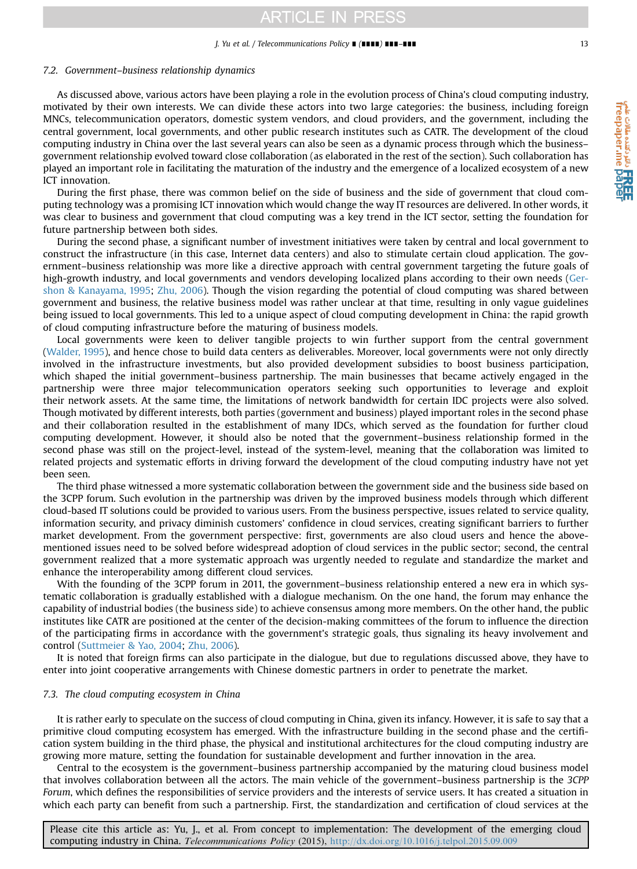#### 7.2. Government–business relationship dynamics

As discussed above, various actors have been playing a role in the evolution process of China's cloud computing industry, motivated by their own interests. We can divide these actors into two large categories: the business, including foreign MNCs, telecommunication operators, domestic system vendors, and cloud providers, and the government, including the central government, local governments, and other public research institutes such as CATR. The development of the cloud computing industry in China over the last several years can also be seen as a dynamic process through which the business– government relationship evolved toward close collaboration (as elaborated in the rest of the section). Such collaboration has played an important role in facilitating the maturation of the industry and the emergence of a localized ecosystem of a new ICT innovation.

During the first phase, there was common belief on the side of business and the side of government that cloud computing technology was a promising ICT innovation which would change the way IT resources are delivered. In other words, it was clear to business and government that cloud computing was a key trend in the ICT sector, setting the foundation for future partnership between both sides.

During the second phase, a significant number of investment initiatives were taken by central and local government to construct the infrastructure (in this case, Internet data centers) and also to stimulate certain cloud application. The government–business relationship was more like a directive approach with central government targeting the future goals of high-growth industry, and local governments and vendors developing localized plans according to their own needs ([Ger](#page-15-0)[shon](#page-15-0) & [Kanayama, 1995;](#page-15-0) [Zhu, 2006\)](#page-16-0). Though the vision regarding the potential of cloud computing was shared between government and business, the relative business model was rather unclear at that time, resulting in only vague guidelines being issued to local governments. This led to a unique aspect of cloud computing development in China: the rapid growth of cloud computing infrastructure before the maturing of business models.

Local governments were keen to deliver tangible projects to win further support from the central government ([Walder, 1995](#page-16-0)), and hence chose to build data centers as deliverables. Moreover, local governments were not only directly involved in the infrastructure investments, but also provided development subsidies to boost business participation, which shaped the initial government–business partnership. The main businesses that became actively engaged in the partnership were three major telecommunication operators seeking such opportunities to leverage and exploit their network assets. At the same time, the limitations of network bandwidth for certain IDC projects were also solved. Though motivated by different interests, both parties (government and business) played important roles in the second phase and their collaboration resulted in the establishment of many IDCs, which served as the foundation for further cloud computing development. However, it should also be noted that the government–business relationship formed in the second phase was still on the project-level, instead of the system-level, meaning that the collaboration was limited to related projects and systematic efforts in driving forward the development of the cloud computing industry have not yet been seen.

The third phase witnessed a more systematic collaboration between the government side and the business side based on the 3CPP forum. Such evolution in the partnership was driven by the improved business models through which different cloud-based IT solutions could be provided to various users. From the business perspective, issues related to service quality, information security, and privacy diminish customers' confidence in cloud services, creating significant barriers to further market development. From the government perspective: first, governments are also cloud users and hence the abovementioned issues need to be solved before widespread adoption of cloud services in the public sector; second, the central government realized that a more systematic approach was urgently needed to regulate and standardize the market and enhance the interoperability among different cloud services.

With the founding of the 3CPP forum in 2011, the government–business relationship entered a new era in which systematic collaboration is gradually established with a dialogue mechanism. On the one hand, the forum may enhance the capability of industrial bodies (the business side) to achieve consensus among more members. On the other hand, the public institutes like CATR are positioned at the center of the decision-making committees of the forum to influence the direction of the participating firms in accordance with the government's strategic goals, thus signaling its heavy involvement and control ([Suttmeier & Yao, 2004](#page-15-0); [Zhu, 2006\)](#page-16-0).

It is noted that foreign firms can also participate in the dialogue, but due to regulations discussed above, they have to enter into joint cooperative arrangements with Chinese domestic partners in order to penetrate the market.

#### 7.3. The cloud computing ecosystem in China

It is rather early to speculate on the success of cloud computing in China, given its infancy. However, it is safe to say that a primitive cloud computing ecosystem has emerged. With the infrastructure building in the second phase and the certification system building in the third phase, the physical and institutional architectures for the cloud computing industry are growing more mature, setting the foundation for sustainable development and further innovation in the area.

Central to the ecosystem is the government–business partnership accompanied by the maturing cloud business model that involves collaboration between all the actors. The main vehicle of the government–business partnership is the 3CPP Forum, which defines the responsibilities of service providers and the interests of service users. It has created a situation in which each party can benefit from such a partnership. First, the standardization and certification of cloud services at the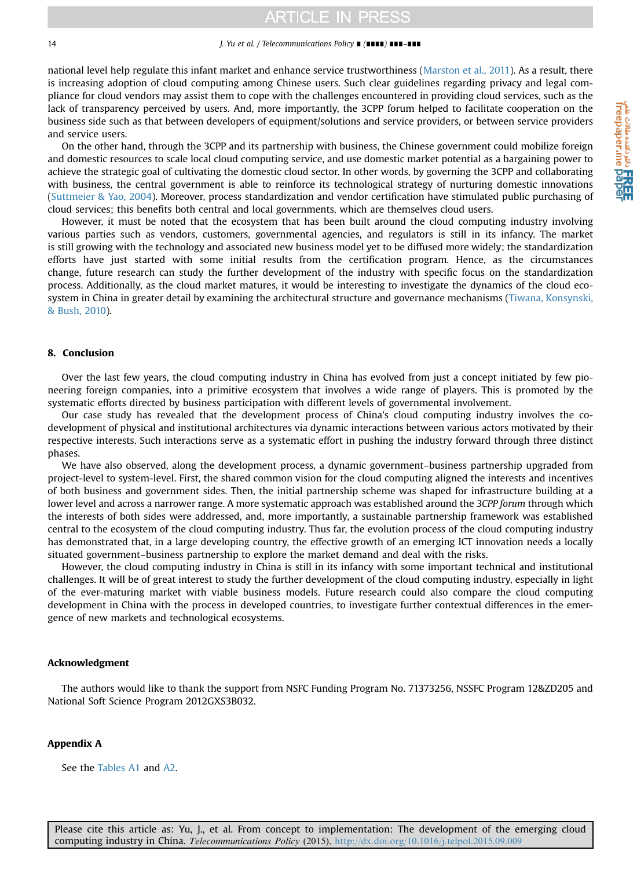national level help regulate this infant market and enhance service trustworthiness ([Marston et al., 2011](#page-15-0)). As a result, there is increasing adoption of cloud computing among Chinese users. Such clear guidelines regarding privacy and legal compliance for cloud vendors may assist them to cope with the challenges encountered in providing cloud services, such as the lack of transparency perceived by users. And, more importantly, the 3CPP forum helped to facilitate cooperation on the business side such as that between developers of equipment/solutions and service providers, or between service providers and service users.

On the other hand, through the 3CPP and its partnership with business, the Chinese government could mobilize foreign and domestic resources to scale local cloud computing service, and use domestic market potential as a bargaining power to achieve the strategic goal of cultivating the domestic cloud sector. In other words, by governing the 3CPP and collaborating with business, the central government is able to reinforce its technological strategy of nurturing domestic innovations ([Suttmeier & Yao, 2004\)](#page-15-0). Moreover, process standardization and vendor certification have stimulated public purchasing of cloud services; this benefits both central and local governments, which are themselves cloud users.

However, it must be noted that the ecosystem that has been built around the cloud computing industry involving various parties such as vendors, customers, governmental agencies, and regulators is still in its infancy. The market is still growing with the technology and associated new business model yet to be diffused more widely; the standardization efforts have just started with some initial results from the certification program. Hence, as the circumstances change, future research can study the further development of the industry with specific focus on the standardization process. Additionally, as the cloud market matures, it would be interesting to investigate the dynamics of the cloud ecosystem in China in greater detail by examining the architectural structure and governance mechanisms [\(Tiwana, Konsynski,](#page-15-0) & [Bush, 2010\)](#page-15-0).

#### 8. Conclusion

Over the last few years, the cloud computing industry in China has evolved from just a concept initiated by few pioneering foreign companies, into a primitive ecosystem that involves a wide range of players. This is promoted by the systematic efforts directed by business participation with different levels of governmental involvement.

Our case study has revealed that the development process of China's cloud computing industry involves the codevelopment of physical and institutional architectures via dynamic interactions between various actors motivated by their respective interests. Such interactions serve as a systematic effort in pushing the industry forward through three distinct phases.

We have also observed, along the development process, a dynamic government–business partnership upgraded from project-level to system-level. First, the shared common vision for the cloud computing aligned the interests and incentives of both business and government sides. Then, the initial partnership scheme was shaped for infrastructure building at a lower level and across a narrower range. A more systematic approach was established around the 3CPP forum through which the interests of both sides were addressed, and, more importantly, a sustainable partnership framework was established central to the ecosystem of the cloud computing industry. Thus far, the evolution process of the cloud computing industry has demonstrated that, in a large developing country, the effective growth of an emerging ICT innovation needs a locally situated government–business partnership to explore the market demand and deal with the risks.

However, the cloud computing industry in China is still in its infancy with some important technical and institutional challenges. It will be of great interest to study the further development of the cloud computing industry, especially in light of the ever-maturing market with viable business models. Future research could also compare the cloud computing development in China with the process in developed countries, to investigate further contextual differences in the emergence of new markets and technological ecosystems.

#### Acknowledgment

The authors would like to thank the support from NSFC Funding Program No. 71373256, NSSFC Program 12&ZD205 and National Soft Science Program 2012GXS3B032.

#### Appendix A

See the [Tables A1](#page-14-0) and [A2.](#page-14-0)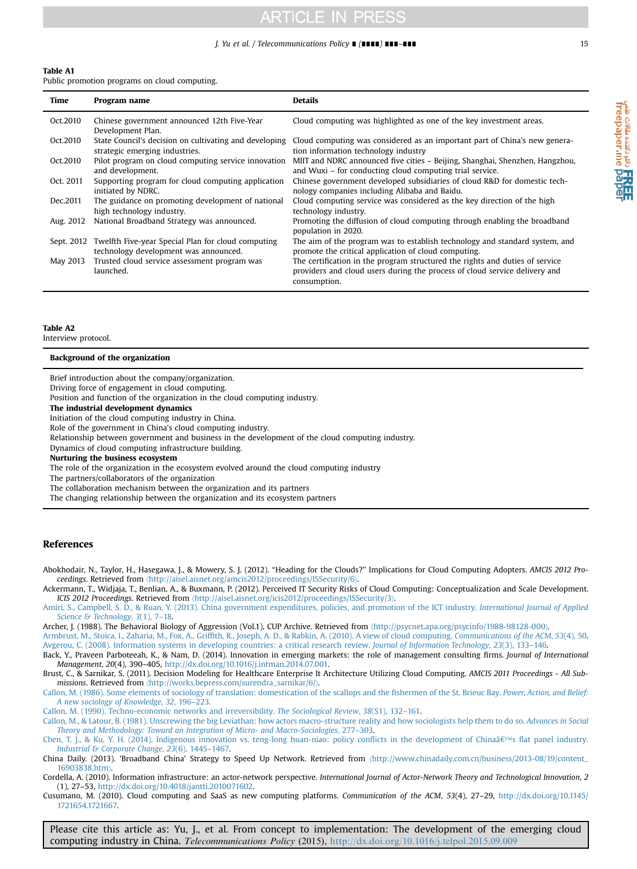#### J. Yu et al. / Telecommunications Policy ∎ (∎∎∎∎) ∎∎∎–∎∎∎ 15

#### <span id="page-14-0"></span>Table A1

Public promotion programs on cloud computing.

| Time       | Program name                                                                                | <b>Details</b>                                                                                                                                                             |
|------------|---------------------------------------------------------------------------------------------|----------------------------------------------------------------------------------------------------------------------------------------------------------------------------|
| Oct.2010   | Chinese government announced 12th Five-Year<br>Development Plan.                            | Cloud computing was highlighted as one of the key investment areas.                                                                                                        |
| Oct.2010   | State Council's decision on cultivating and developing<br>strategic emerging industries.    | Cloud computing was considered as an important part of China's new genera-<br>tion information technology industry                                                         |
| Oct.2010   | Pilot program on cloud computing service innovation<br>and development.                     | MIIT and NDRC announced five cities - Beijing, Shanghai, Shenzhen, Hangzhou,<br>and Wuxi - for conducting cloud computing trial service.                                   |
| Oct. 2011  | Supporting program for cloud computing application<br>initiated by NDRC.                    | Chinese government developed subsidiaries of cloud R&D for domestic tech-<br>nology companies including Alibaba and Baidu.                                                 |
| Dec.2011   | The guidance on promoting development of national<br>high technology industry.              | Cloud computing service was considered as the key direction of the high<br>technology industry.                                                                            |
| Aug. 2012  | National Broadband Strategy was announced.                                                  | Promoting the diffusion of cloud computing through enabling the broadband<br>population in 2020.                                                                           |
| Sept. 2012 | Twelfth Five-year Special Plan for cloud computing<br>technology development was announced. | The aim of the program was to establish technology and standard system, and<br>promote the critical application of cloud computing.                                        |
| May 2013   | Trusted cloud service assessment program was<br>launched.                                   | The certification in the program structured the rights and duties of service<br>providers and cloud users during the process of cloud service delivery and<br>consumption. |

Table A2

Interview protocol.

#### Background of the organization

Brief introduction about the company/organization.

Driving force of engagement in cloud computing.

Position and function of the organization in the cloud computing industry.

The industrial development dynamics

Initiation of the cloud computing industry in China.

Role of the government in China's cloud computing industry.

Relationship between government and business in the development of the cloud computing industry.

Dynamics of cloud computing infrastructure building.

Nurturing the business ecosystem

The role of the organization in the ecosystem evolved around the cloud computing industry

The partners/collaborators of the organization

The collaboration mechanism between the organization and its partners

The changing relationship between the organization and its ecosystem partners

#### References

- Abokhodair, N., Taylor, H., Hasegawa, J., & Mowery, S. J. (2012). "Heading for the Clouds?" Implications for Cloud Computing Adopters. AMCIS 2012 Proceedings. Retrieved from 〈[http://aisel.aisnet.org/amcis2012/proceedings/ISSecurity/6](http://www.aisel.aisnet.org/amcis2012/proceedings/ISSecurity/6)〉.
- Ackermann, T., Widjaja, T., Benlian, A., & Buxmann, P. (2012). Perceived IT Security Risks of Cloud Computing: Conceptualization and Scale Development. ICIS 2012 Proceedings. Retrieved from 〈[http://aisel.aisnet.org/icis2012/proceedings/ISSecurity/3](http://www.aisel.aisnet.org/icis2012/proceedings/ISSecurity/3)〉.
- [Amiri, S., Campbell, S. D., & Ruan, Y. \(2013\). China government expenditures, policies, and promotion of the ICT industry.](http://refhub.elsevier.com/S0308-5961(15)00151-2/sbref1) International Journal of Applied [Science](http://refhub.elsevier.com/S0308-5961(15)00151-2/sbref1) & [Technology](http://refhub.elsevier.com/S0308-5961(15)00151-2/sbref1), 3(1), 7-18.

Archer, J. (1988). The Behavioral Biology of Aggression (Vol.1), CUP Archive. Retrieved from 〈<http://psycnet.apa.org/psycinfo/1988-98128-000>〉.

Armbrust, M., Stoica, I., Zaharia, M., Fox, A., Griffi[th, R., Joseph, A. D., & Rabkin, A. \(2010\). A view of cloud computing.](http://refhub.elsevier.com/S0308-5961(15)00151-2/sbref2) Communications of the ACM, 53(4), 50. [Avgerou, C. \(2008\). Information systems in developing countries: a critical research review.](http://refhub.elsevier.com/S0308-5961(15)00151-2/sbref3) Journal of Information Technology, 23(3), 133–146.

Back, Y., Praveen Parboteeah, K., & Nam, D. (2014). Innovation in emerging markets: the role of management consulting firms. Journal of International Management, 20(4), 390–405, <http://dx.doi.org/10.1016/j.intman.2014.07.001>.

Brust, C., & Sarnikar, S. (2011). Decision Modeling for Healthcare Enterprise It Architecture Utilizing Cloud Computing. AMCIS 2011 Proceedings - All Submissions. Retrieved from  $\langle$ [http://works.bepress.com/surendra\\_sarnikar/6/](http://www.works.bepress.com/surendra_sarnikar/6/) $\rangle$ 

[Callon, M. \(1986\). Some elements of sociology of translation: domestication of the scallops and the](http://refhub.elsevier.com/S0308-5961(15)00151-2/sbref5) fishermen of the St. Brieuc Bay. Power, Action, and Belief: [A new sociology of Knowledge](http://refhub.elsevier.com/S0308-5961(15)00151-2/sbref5), 32, 196–223.

[Callon, M. \(1990\). Techno-economic networks and irreversibility.](http://refhub.elsevier.com/S0308-5961(15)00151-2/sbref6) The Sociological Review, 38(S1), 132–161.

[Callon, M., & Latour, B. \(1981\). Unscrewing the big Leviathan: how actors macro-structure reality and how sociologists help them to do so.](http://refhub.elsevier.com/S0308-5961(15)00151-2/sbref7) Advances in Social [Theory and Methodology: Toward an Integration of Micro- and Macro-Sociologies](http://refhub.elsevier.com/S0308-5961(15)00151-2/sbref7), 277–303.

[Chen, T. J., & Ku, Y. H. \(2014\). Indigenous innovation vs. teng-long huan-niao: policy con](http://refhub.elsevier.com/S0308-5961(15)00151-2/sbref88)flicts in the development of Chinaâ€™s flat panel industry. [Industrial & Corporate Change](http://refhub.elsevier.com/S0308-5961(15)00151-2/sbref88), 23(6), 1445–1467.

China Daily. (2013). 'Broadband China' Strategy to Speed Up Network. Retrieved from 〈[http://www.chinadaily.com.cn/business/2013-08/19/content\\_](http://www.chinadaily.com.cn/business/2013-08/19/content_16903838.htm) [16903838.htm](http://www.chinadaily.com.cn/business/2013-08/19/content_16903838.htm)〉.

Cordella, A. (2010). Information infrastructure: an actor-network perspective. International Journal of Actor-Network Theory and Technological Innovation, 2 (1), 27–53, <http://dx.doi.org/10.4018/jantti.2010071602>.

Cusumano, M. (2010). Cloud computing and SaaS as new computing platforms. Communication of the ACM, 53(4), 27–29, [http://dx.doi.org/10.1145/](http://dx.doi.org/10.1145/1721654.1721667) [1721654.1721667](http://dx.doi.org/10.1145/1721654.1721667).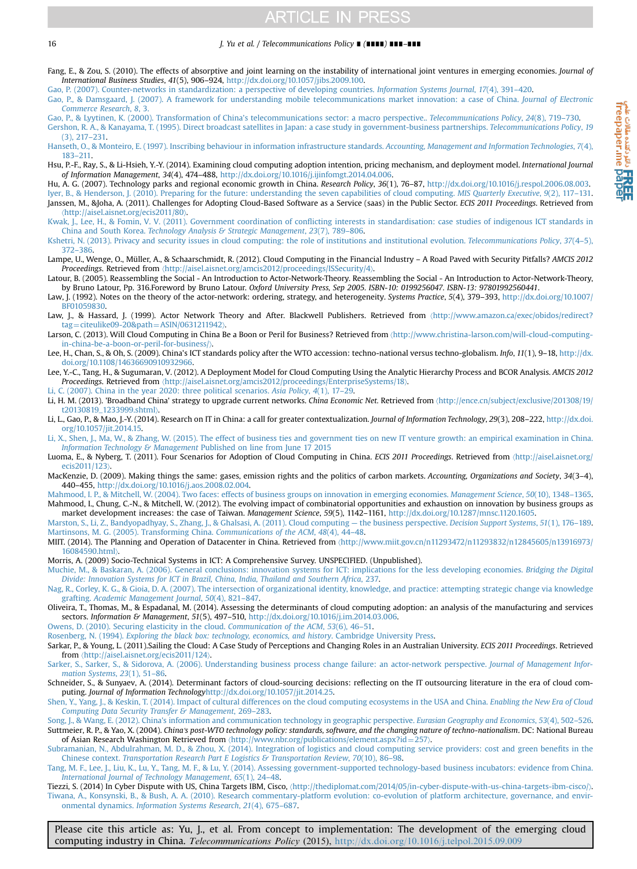#### 16 J. Yu et al. / Telecommunications Policy ∎ (∎∎∎∎) ∎∎∎–∎∎∎

Fang, E., & Zou, S. (2010). The effects of absorptive and joint learning on the instability of international joint ventures in emerging economies. Journal of International Business Studies, 41(5), 906–924, [http://dx.doi.org/10.1057/jibs.2009.100.](http://dx.doi.org/10.1057/jibs.2009.100)

[Gao, P. \(2007\). Counter-networks in standardization: a perspective of developing countries.](http://refhub.elsevier.com/S0308-5961(15)00151-2/sbref11) Information Systems Journal, 17(4), 391–420.

[Gao, P., & Damsgaard, J. \(2007\). A framework for understanding mobile telecommunications market innovation: a case of China.](http://refhub.elsevier.com/S0308-5961(15)00151-2/sbref12) Journal of Electronic [Commerce Research](http://refhub.elsevier.com/S0308-5961(15)00151-2/sbref12), 8, 3.

[Gao, P., & Lyytinen, K. \(2000\). Transformation of China](http://refhub.elsevier.com/S0308-5961(15)00151-2/sbref13)'s telecommunications sector: a macro perspective.. Telecommunications Policy, 24(8), 719–730. [Gershon, R. A., & Kanayama, T. \(1995\). Direct broadcast satellites in Japan: a case study in government-business partnerships.](http://refhub.elsevier.com/S0308-5961(15)00151-2/sbref14) Telecommunications Policy, 19 [\(3\), 217](http://refhub.elsevier.com/S0308-5961(15)00151-2/sbref14)–231.

[Hanseth, O., & Monteiro, E. \(1997\). Inscribing behaviour in information infrastructure standards.](http://refhub.elsevier.com/S0308-5961(15)00151-2/sbref15) Accounting, Management and Information Technologies, 7(4), [183](http://refhub.elsevier.com/S0308-5961(15)00151-2/sbref15)–[211.](http://refhub.elsevier.com/S0308-5961(15)00151-2/sbref15)

Hsu, P.-F., Ray, S., & Li-Hsieh, Y.-Y. (2014). Examining cloud computing adoption intention, pricing mechanism, and deployment model. International Journal of Information Management, 34(4), 474–488, [http://dx.doi.org/10.1016/j.ijinfomgt.2014.04.006.](http://dx.doi.org/10.1016/j.ijinfomgt.2014.04.006)

Hu, A. G. (2007). Technology parks and regional economic growth in China. Research Policy, 36(1), 76–87, <http://dx.doi.org/10.1016/j.respol.2006.08.003>. [Iyer, B., & Henderson, J. \(2010\). Preparing for the future: understanding the seven capabilities of cloud computing.](http://refhub.elsevier.com/S0308-5961(15)00151-2/sbref18) MIS Quarterly Executive, 9(2), 117–131. Janssen, M., &Joha, A. (2011). Challenges for Adopting Cloud-Based Software as a Service (saas) in the Public Sector. ECIS 2011 Proceedings. Retrieved from 〈[http://aisel.aisnet.org/ecis2011/80](http://www.aisel.aisnet.org/ecis2011/80)〉.

Kwak, J., Lee, H., & Fomin, V. V. (2011). Government coordination of confl[icting interests in standardisation: case studies of indigenous ICT standards in](http://refhub.elsevier.com/S0308-5961(15)00151-2/sbref19) [China and South Korea.](http://refhub.elsevier.com/S0308-5961(15)00151-2/sbref19) Technology Analysis & [Strategic Management](http://refhub.elsevier.com/S0308-5961(15)00151-2/sbref19), 23(7), 789–806.

[Kshetri, N. \(2013\). Privacy and security issues in cloud computing: the role of institutions and institutional evolution.](http://refhub.elsevier.com/S0308-5961(15)00151-2/sbref20) Telecommunications Policy, 37(4-5), [372](http://refhub.elsevier.com/S0308-5961(15)00151-2/sbref20)–[386.](http://refhub.elsevier.com/S0308-5961(15)00151-2/sbref20)

Lampe, U., Wenge, O., Müller, A., & Schaarschmidt, R. (2012). Cloud Computing in the Financial Industry - A Road Paved with Security Pitfalls? AMCIS 2012 Proceedings. Retrieved from 〈[http://aisel.aisnet.org/amcis2012/proceedings/ISSecurity/4](http://www.aisel.aisnet.org/amcis2012/proceedings/ISSecurity/4)〉.

Latour, B. (2005). Reassembling the Social - An Introduction to Actor-Network-Theory. Reassembling the Social - An Introduction to Actor-Network-Theory, by Bruno Latour, Pp. 316.Foreword by Bruno Latour. Oxford University Press, Sep 2005. ISBN-10: 0199256047. ISBN-13: 97801992560441.

Law, J. (1992). Notes on the theory of the actor-network: ordering, strategy, and heterogeneity. Systems Practice, 5(4), 379–393, [http://dx.doi.org/10.1007/](http://dx.doi.org/10.1007/BF01059830) [BF01059830.](http://dx.doi.org/10.1007/BF01059830)

Law, J., & Hassard, J. (1999). Actor Network Theory and After. Blackwell Publishers. Retrieved from  $\frac{\hbar}{\hbar}$  (1999). Actor Network Theory and After. Blackwell Publishers. Retrieved from  $\frac{\hbar}{\hbar}$  (1999). Actor Netwo  $tag = citeulike09-20&path = ASIN/0631211942.$  $tag = citeulike09-20&path = ASIN/0631211942.$  $tag = citeulike09-20&path = ASIN/0631211942.$  $tag = citeulike09-20&path = ASIN/0631211942.$  $tag = citeulike09-20&path = ASIN/0631211942.$  $tag = citeulike09-20&path = ASIN/0631211942.$  $tag = citeulike09-20&path = ASIN/0631211942.$  $tag = citeulike09-20&path = ASIN/0631211942.$ 

Larson, C. (2013). Will Cloud Computing in China Be a Boon or Peril for Business? Retrieved from  $\frac{\hbar}{\hbar}$  //www.christina-larson.com/will-cloud-computing[in-china-be-a-boon-or-peril-for-business/](http://www.christina-larson.com/will-cloud-computing-in-china-be-a-boon-or-peril-for-business/)〉.

Lee, H., Chan, S., & Oh, S. (2009). China's ICT standards policy after the WTO accession: techno-national versus techno-globalism. Info, 11(1), 9–18, [http://dx.](http://dx.doi.org/10.1108/14636690910932966) [doi.org/10.1108/14636690910932966](http://dx.doi.org/10.1108/14636690910932966).

Lee, Y.-C., Tang, H., & Sugumaran, V. (2012). A Deployment Model for Cloud Computing Using the Analytic Hierarchy Process and BCOR Analysis. AMCIS 2012 Proceedings. Retrieved from 〈[http://aisel.aisnet.org/amcis2012/proceedings/EnterpriseSystems/18](http://www.aisel.aisnet.org/amcis2012/proceedings/EnterpriseSystems/18)〉.

[Li, C. \(2007\). China in the year 2020: three political scenarios.](http://refhub.elsevier.com/S0308-5961(15)00151-2/sbref23) Asia Policy, 4(1), 17–29.

Li, H. M. (2013). 'Broadband China' strategy to upgrade current networks. China Economic Net. Retrieved from [〈](http://www.aisel.aisnet.org/ecis2011/123)[http://ence.cn/subject/exclusive/201308/19/](http://en.ce.cn/subject/exclusive/201308/19/t20130819_1233999.shtml) [t20130819\\_1233999.shtml](http://en.ce.cn/subject/exclusive/201308/19/t20130819_1233999.shtml)[〉](http://www.aisel.aisnet.org/ecis2011/123).

Li, L., Gao, P., & Mao, J.-Y. (2014). Research on IT in China: a call for greater contextualization. Journal of Information Technology, 29(3), 208–222, [http://dx.doi.](http://dx.doi.org/10.1057/jit.2014.15) [org/10.1057/jit.2014.15.](http://dx.doi.org/10.1057/jit.2014.15)

[Li, X., Shen, J., Ma, W., & Zhang, W. \(2015\). The effect of business ties and government ties on new IT venture growth: an empirical examination in China.](http://refhub.elsevier.com/S0308-5961(15)00151-2/sbref26) [Information Technology &](http://refhub.elsevier.com/S0308-5961(15)00151-2/sbref26) Management [Published on line from June 17 2015](http://refhub.elsevier.com/S0308-5961(15)00151-2/sbref26)

Luoma, E., & Nyberg, T. (2011). Four Scenarios for Adoption of Cloud Computing in China. ECIS 2011 Proceedings. Retrieved from  $\frac{\text{http://aisel.aisnet.org}}{\text{http://aisel.aisnet.org}}$ [ecis2011/123](http://www.aisel.aisnet.org/ecis2011/123)〉.

MacKenzie, D. (2009). Making things the same: gases, emission rights and the politics of carbon markets. Accounting, Organizations and Society, 34(3–4), 440–455, [http://dx.doi.org/10.1016/j.aos.2008.02.004.](http://dx.doi.org/10.1016/j.aos.2008.02.004)

[Mahmood, I. P., & Mitchell, W. \(2004\). Two faces: effects of business groups on innovation in emerging economies.](http://refhub.elsevier.com/S0308-5961(15)00151-2/sbref28) Management Science, 50(10), 1348–1365. Mahmood, I., Chung, C.-N., & Mitchell, W. (2012). The evolving impact of combinatorial opportunities and exhaustion on innovation by business groups as

market development increases: the case of Taiwan. Management Science, 59(5), 1142-1161, <http://dx.doi.org/10.1287/mnsc.1120.1605>. [Marston, S., Li, Z., Bandyopadhyay, S., Zhang, J., & Ghalsasi, A. \(2011\). Cloud computing](http://refhub.elsevier.com/S0308-5961(15)00151-2/sbref30) — the business perspective. Decision Support Systems, 51(1), 176–189. [Martinsons, M. G. \(2005\). Transforming China.](http://refhub.elsevier.com/S0308-5961(15)00151-2/sbref31) Communications of the ACM, 48(4), 44–48.

MIIT. (2014). The Planning and Operation of Datacenter in China. Retrieved from  $\frac{\hbar}{\hbar}$ /www.miit.gov.cn/n11293472/n11293832/n12845605/n13916973/ [16084590.html](http://www.miit.gov.cn/n11293472/n11293832/n12845605/n13916973/16084590.html)〉.

Morris, A. (2009) Socio-Technical Systems in ICT: A Comprehensive Survey. UNSPECIFIED. (Unpublished).

[Muchie, M., & Baskaran, A. \(2006\). General conclusions: innovation systems for ICT: implications for the less developing economies.](http://refhub.elsevier.com/S0308-5961(15)00151-2/sbref32) Bridging the Digital [Divide: Innovation Systems for ICT in Brazil, China, India, Thailand and Southern Africa](http://refhub.elsevier.com/S0308-5961(15)00151-2/sbref32), 237.

[Nag, R., Corley, K. G., & Gioia, D. A. \(2007\). The intersection of organizational identity, knowledge, and practice: attempting strategic change via](http://refhub.elsevier.com/S0308-5961(15)00151-2/sbref33) knowledge grafting. [Academic Management Journal](http://refhub.elsevier.com/S0308-5961(15)00151-2/sbref33), 50(4), 821–847.

Oliveira, T., Thomas, M., & Espadanal, M. (2014). Assessing the determinants of cloud computing adoption: an analysis of the manufacturing and services sectors. Information & Management, 51(5), 497-510, <http://dx.doi.org/10.1016/j.im.2014.03.006>.

[Owens, D. \(2010\). Securing elasticity in the cloud.](http://refhub.elsevier.com/S0308-5961(15)00151-2/sbref35) Communication of the ACM, 53(6), 46–51.

Rosenberg, N. (1994). [Exploring the black box: technology, economics, and history](http://refhub.elsevier.com/S0308-5961(15)00151-2/sbref37). Cambridge University Press.

Sarkar, P., & Young, L. (2011).Sailing the Cloud: A Case Study of Perceptions and Changing Roles in an Australian University. ECIS 2011 Proceedings. Retrieved from 〈[http://aisel.aisnet.org/ecis2011/124](http://www.aisel.aisnet.org/ecis2011/124)〉.

[Sarker, S., Sarker, S., & Sidorova, A. \(2006\). Understanding business process change failure: an actor-network perspective.](http://refhub.elsevier.com/S0308-5961(15)00151-2/sbref38) Journal of Management Infor[mation Systems](http://refhub.elsevier.com/S0308-5961(15)00151-2/sbref38), 23(1), 51–86.

Schneider, S., & Sunyaev, A. (2014). Determinant factors of cloud-sourcing decisions: reflecting on the IT outsourcing literature in the era of cloud computing. Journal of Information Technology[http://dx.doi.org/10.1057/jit.2014.25.](http://dx.doi.org/10.1057/jit.2014.25)

[Shen, Y., Yang, J., & Keskin, T. \(2014\). Impact of cultural differences on the cloud computing ecosystems in the USA and China.](http://refhub.elsevier.com/S0308-5961(15)00151-2/sbref40) Enabling the New Era of Cloud [Computing Data Security Transfer](http://refhub.elsevier.com/S0308-5961(15)00151-2/sbref40) & [Management](http://refhub.elsevier.com/S0308-5961(15)00151-2/sbref40), 269–283.

[Song, J., & Wang, E. \(2012\). China's information and communication technology in geographic perspective.](http://refhub.elsevier.com/S0308-5961(15)00151-2/sbref41) Eurasian Geography and Economics, 53(4), 502–526. Suttmeier, R. P., & Yao, X. (2004). China's post-WTO technology policy: standards, software, and the changing nature of techno-nationalism. DC: National Bureau of Asian Research Washington Retrieved from  $\frac{\hbar t}{\hbar}$ /www.nbr.org/publications/element.aspx?id=[257](http://www.nbr.org/publications/element.aspx?id=257)).

[Subramanian, N., Abdulrahman, M. D., & Zhou, X. \(2014\). Integration of logistics and cloud computing service providers: cost and green bene](http://refhub.elsevier.com/S0308-5961(15)00151-2/sbref43)fits in the Chinese context. [Transportation Research Part E Logistics](http://refhub.elsevier.com/S0308-5961(15)00151-2/sbref43) & [Transportation Review](http://refhub.elsevier.com/S0308-5961(15)00151-2/sbref43), 70(10), 86–98.

[Tang, M. F., Lee, J., Liu, K., Lu, Y., Tang, M. F., & Lu, Y. \(2014\). Assessing government-supported technology-based business incubators: evidence from China.](http://refhub.elsevier.com/S0308-5961(15)00151-2/sbref44) [International Journal of Technology Management](http://refhub.elsevier.com/S0308-5961(15)00151-2/sbref44), 65(1), 24–48.

Tiezzi, S. (2014) In Cyber Dispute with US, China Targets IBM, Cisco, ([http://thediplomat.com/2014/05/in-cyber-dispute-with-us-china-targets-ibm-cisco/](http://www.thediplomat.com/2014/05/in-cyber-dispute-with-us-china-targets-ibm-cisco/)). [Tiwana, A., Konsynski, B., & Bush, A. A. \(2010\). Research commentary-platform evolution: co-evolution of platform architecture, governance, and envir](http://refhub.elsevier.com/S0308-5961(15)00151-2/sbref45)onmental dynamics. [Information Systems Research](http://refhub.elsevier.com/S0308-5961(15)00151-2/sbref45), 21(4), 675–687.

<span id="page-15-0"></span>